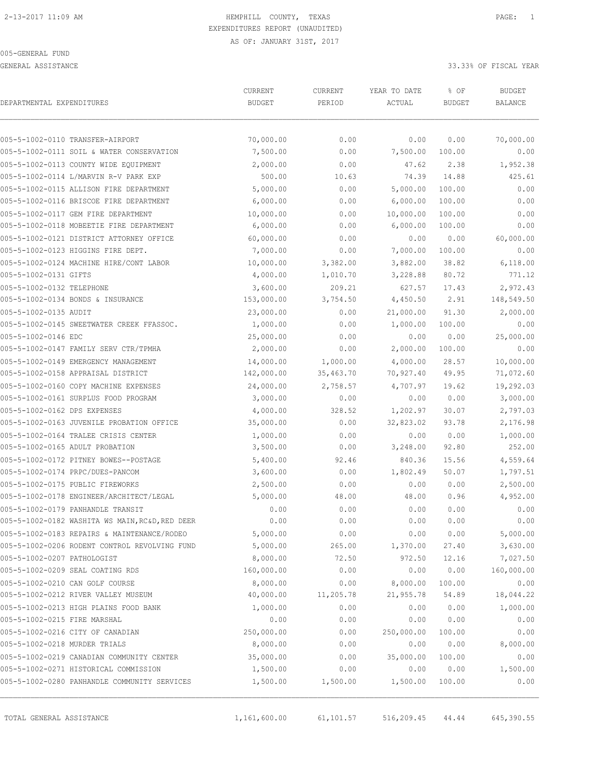#### 005-GENERAL FUND

GENERAL ASSISTANCE 33.33% OF FISCAL YEAR

|                               | CURRENT                                         | CURRENT       | YEAR TO DATE |            | <b>BUDGET</b> |                |
|-------------------------------|-------------------------------------------------|---------------|--------------|------------|---------------|----------------|
| DEPARTMENTAL EXPENDITURES     |                                                 | <b>BUDGET</b> | PERIOD       | ACTUAL     | <b>BUDGET</b> | <b>BALANCE</b> |
|                               | 005-5-1002-0110 TRANSFER-AIRPORT                | 70,000.00     | 0.00         | 0.00       | 0.00          | 70,000.00      |
|                               | 005-5-1002-0111 SOIL & WATER CONSERVATION       | 7,500.00      | 0.00         | 7,500.00   | 100.00        | 0.00           |
|                               | 005-5-1002-0113 COUNTY WIDE EQUIPMENT           | 2,000.00      | 0.00         | 47.62      | 2.38          | 1,952.38       |
|                               | 005-5-1002-0114 L/MARVIN R-V PARK EXP           | 500.00        | 10.63        | 74.39      | 14.88         | 425.61         |
|                               | 005-5-1002-0115 ALLISON FIRE DEPARTMENT         | 5,000.00      | 0.00         | 5,000.00   | 100.00        | 0.00           |
|                               | 005-5-1002-0116 BRISCOE FIRE DEPARTMENT         | 6,000.00      | 0.00         | 6,000.00   | 100.00        | 0.00           |
|                               | 005-5-1002-0117 GEM FIRE DEPARTMENT             | 10,000.00     | 0.00         | 10,000.00  | 100.00        | 0.00           |
|                               | 005-5-1002-0118 MOBEETIE FIRE DEPARTMENT        | 6,000.00      | 0.00         | 6,000.00   | 100.00        | 0.00           |
|                               | 005-5-1002-0121 DISTRICT ATTORNEY OFFICE        | 60,000.00     | 0.00         | 0.00       | 0.00          | 60,000.00      |
|                               | 005-5-1002-0123 HIGGINS FIRE DEPT.              | 7,000.00      | 0.00         | 7,000.00   | 100.00        | 0.00           |
|                               | 005-5-1002-0124 MACHINE HIRE/CONT LABOR         | 10,000.00     | 3,382.00     | 3,882.00   | 38.82         | 6,118.00       |
| 005-5-1002-0131 GIFTS         |                                                 | 4,000.00      | 1,010.70     | 3,228.88   | 80.72         | 771.12         |
| 005-5-1002-0132 TELEPHONE     |                                                 | 3,600.00      | 209.21       | 627.57     | 17.43         | 2,972.43       |
|                               | 005-5-1002-0134 BONDS & INSURANCE               | 153,000.00    | 3,754.50     | 4,450.50   | 2.91          | 148,549.50     |
| 005-5-1002-0135 AUDIT         |                                                 | 23,000.00     | 0.00         | 21,000.00  | 91.30         | 2,000.00       |
|                               | 005-5-1002-0145 SWEETWATER CREEK FFASSOC.       | 1,000.00      | 0.00         | 1,000.00   | 100.00        | 0.00           |
| 005-5-1002-0146 EDC           |                                                 | 25,000.00     | 0.00         | 0.00       | 0.00          | 25,000.00      |
|                               | 005-5-1002-0147 FAMILY SERV CTR/TPMHA           | 2,000.00      | 0.00         | 2,000.00   | 100.00        | 0.00           |
|                               | 005-5-1002-0149 EMERGENCY MANAGEMENT            | 14,000.00     | 1,000.00     | 4,000.00   | 28.57         | 10,000.00      |
|                               | 005-5-1002-0158 APPRAISAL DISTRICT              | 142,000.00    | 35,463.70    | 70,927.40  | 49.95         | 71,072.60      |
|                               | 005-5-1002-0160 COPY MACHINE EXPENSES           | 24,000.00     | 2,758.57     | 4,707.97   | 19.62         | 19,292.03      |
|                               | 005-5-1002-0161 SURPLUS FOOD PROGRAM            | 3,000.00      | 0.00         | 0.00       | 0.00          | 3,000.00       |
| 005-5-1002-0162 DPS EXPENSES  |                                                 | 4,000.00      | 328.52       | 1,202.97   | 30.07         | 2,797.03       |
|                               | 005-5-1002-0163 JUVENILE PROBATION OFFICE       | 35,000.00     | 0.00         | 32,823.02  | 93.78         | 2,176.98       |
|                               | 005-5-1002-0164 TRALEE CRISIS CENTER            | 1,000.00      | 0.00         | 0.00       | 0.00          | 1,000.00       |
|                               | 005-5-1002-0165 ADULT PROBATION                 | 3,500.00      | 0.00         | 3,248.00   | 92.80         | 252.00         |
|                               | 005-5-1002-0172 PITNEY BOWES--POSTAGE           | 5,400.00      | 92.46        | 840.36     | 15.56         | 4,559.64       |
|                               | 005-5-1002-0174 PRPC/DUES-PANCOM                | 3,600.00      | 0.00         | 1,802.49   | 50.07         | 1,797.51       |
|                               | 005-5-1002-0175 PUBLIC FIREWORKS                | 2,500.00      | 0.00         | 0.00       | 0.00          | 2,500.00       |
|                               | 005-5-1002-0178 ENGINEER/ARCHITECT/LEGAL        | 5,000.00      | 48.00        | 48.00      | 0.96          | 4,952.00       |
|                               | 005-5-1002-0179 PANHANDLE TRANSIT               | 0.00          | 0.00         | 0.00       | 0.00          | 0.00           |
|                               | 005-5-1002-0182 WASHITA WS MAIN, RC&D, RED DEER | 0.00          | 0.00         | 0.00       | 0.00          | 0.00           |
|                               | 005-5-1002-0183 REPAIRS & MAINTENANCE/RODEO     | 5,000.00      | 0.00         | 0.00       | 0.00          | 5,000.00       |
|                               | 005-5-1002-0206 RODENT CONTROL REVOLVING FUND   | 5,000.00      | 265.00       | 1,370.00   | 27.40         | 3,630.00       |
| 005-5-1002-0207 PATHOLOGIST   |                                                 | 8,000.00      | 72.50        | 972.50     | 12.16         | 7,027.50       |
|                               | 005-5-1002-0209 SEAL COATING RDS                | 160,000.00    | 0.00         | 0.00       | 0.00          | 160,000.00     |
|                               | 005-5-1002-0210 CAN GOLF COURSE                 | 8,000.00      | 0.00         | 8,000.00   | 100.00        | 0.00           |
|                               | 005-5-1002-0212 RIVER VALLEY MUSEUM             | 40,000.00     | 11,205.78    | 21,955.78  | 54.89         | 18,044.22      |
|                               | 005-5-1002-0213 HIGH PLAINS FOOD BANK           | 1,000.00      | 0.00         | 0.00       | 0.00          | 1,000.00       |
| 005-5-1002-0215 FIRE MARSHAL  |                                                 | 0.00          | 0.00         | 0.00       | 0.00          | 0.00           |
|                               | 005-5-1002-0216 CITY OF CANADIAN                | 250,000.00    | 0.00         | 250,000.00 | 100.00        | 0.00           |
| 005-5-1002-0218 MURDER TRIALS |                                                 | 8,000.00      | 0.00         | 0.00       | 0.00          | 8,000.00       |
|                               | 005-5-1002-0219 CANADIAN COMMUNITY CENTER       | 35,000.00     | 0.00         | 35,000.00  | 100.00        | 0.00           |
|                               | 005-5-1002-0271 HISTORICAL COMMISSION           | 1,500.00      | 0.00         | 0.00       | 0.00          | 1,500.00       |
|                               | 005-5-1002-0280 PANHANDLE COMMUNITY SERVICES    | 1,500.00      | 1,500.00     | 1,500.00   | 100.00        | 0.00           |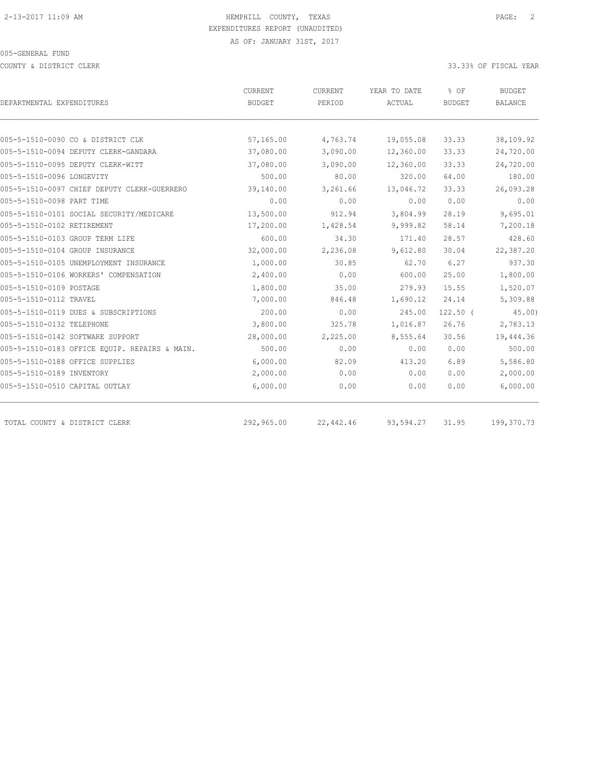COUNTY & DISTRICT CLERK 33.33% OF FISCAL YEAR

| DEPARTMENTAL EXPENDITURES                     | <b>CURRENT</b><br><b>BUDGET</b> | CURRENT<br>PERIOD | YEAR TO DATE<br>ACTUAL | % OF<br><b>BUDGET</b> | <b>BUDGET</b><br><b>BALANCE</b> |
|-----------------------------------------------|---------------------------------|-------------------|------------------------|-----------------------|---------------------------------|
|                                               |                                 |                   |                        |                       |                                 |
| 005-5-1510-0090 CO & DISTRICT CLK             | 57,165.00                       | 4,763.74          | 19,055.08              | 33.33                 | 38,109.92                       |
| 005-5-1510-0094 DEPUTY CLERK-GANDARA          | 37,080.00                       | 3,090.00          | 12,360.00              | 33.33                 | 24,720.00                       |
| 005-5-1510-0095 DEPUTY CLERK-WITT             | 37,080.00                       | 3,090.00          | 12,360.00              | 33.33                 | 24,720.00                       |
| 005-5-1510-0096 LONGEVITY                     | 500.00                          | 80.00             | 320.00                 | 64.00                 | 180.00                          |
| 005-5-1510-0097 CHIEF DEPUTY CLERK-GUERRERO   | 39,140.00                       | 3,261.66          | 13,046.72              | 33.33                 | 26,093.28                       |
| 005-5-1510-0098 PART TIME                     | 0.00                            | 0.00              | 0.00                   | 0.00                  | 0.00                            |
| 005-5-1510-0101 SOCIAL SECURITY/MEDICARE      | 13,500.00                       | 912.94            | 3,804.99               | 28.19                 | 9,695.01                        |
| 005-5-1510-0102 RETIREMENT                    | 17,200.00                       | 1,428.54          | 9,999.82               | 58.14                 | 7,200.18                        |
| 005-5-1510-0103 GROUP TERM LIFE               | 600.00                          | 34.30             | 171.40                 | 28.57                 | 428.60                          |
| 005-5-1510-0104 GROUP INSURANCE               | 32,000.00                       | 2,236.08          | 9,612.80               | 30.04                 | 22,387.20                       |
| 005-5-1510-0105 UNEMPLOYMENT INSURANCE        | 1,000.00                        | 30.85             | 62.70                  | 6.27                  | 937.30                          |
| 005-5-1510-0106 WORKERS' COMPENSATION         | 2,400.00                        | 0.00              | 600.00                 | 25.00                 | 1,800.00                        |
| 005-5-1510-0109 POSTAGE                       | 1,800.00                        | 35.00             | 279.93                 | 15.55                 | 1,520.07                        |
| 005-5-1510-0112 TRAVEL                        | 7,000.00                        | 846.48            | 1,690.12               | 24.14                 | 5,309.88                        |
| 005-5-1510-0119 DUES & SUBSCRIPTIONS          | 200.00                          | 0.00              | 245.00                 | $122.50$ (            | $45.00$ )                       |
| 005-5-1510-0132 TELEPHONE                     | 3,800.00                        | 325.78            | 1,016.87               | 26.76                 | 2,783.13                        |
| 005-5-1510-0142 SOFTWARE SUPPORT              | 28,000.00                       | 2,225.00          | 8,555.64               | 30.56                 | 19,444.36                       |
| 005-5-1510-0183 OFFICE EQUIP. REPAIRS & MAIN. | 500.00                          | 0.00              | 0.00                   | 0.00                  | 500.00                          |
| 005-5-1510-0188 OFFICE SUPPLIES               | 6,000.00                        | 82.09             | 413.20                 | 6.89                  | 5,586.80                        |
| 005-5-1510-0189 INVENTORY                     | 2,000.00                        | 0.00              | 0.00                   | 0.00                  | 2,000.00                        |
| 005-5-1510-0510 CAPITAL OUTLAY                | 6,000.00                        | 0.00              | 0.00                   | 0.00                  | 6,000.00                        |
| TOTAL COUNTY & DISTRICT CLERK                 | 292,965.00                      | 22,442.46         | 93,594.27              | 31.95                 | 199,370.73                      |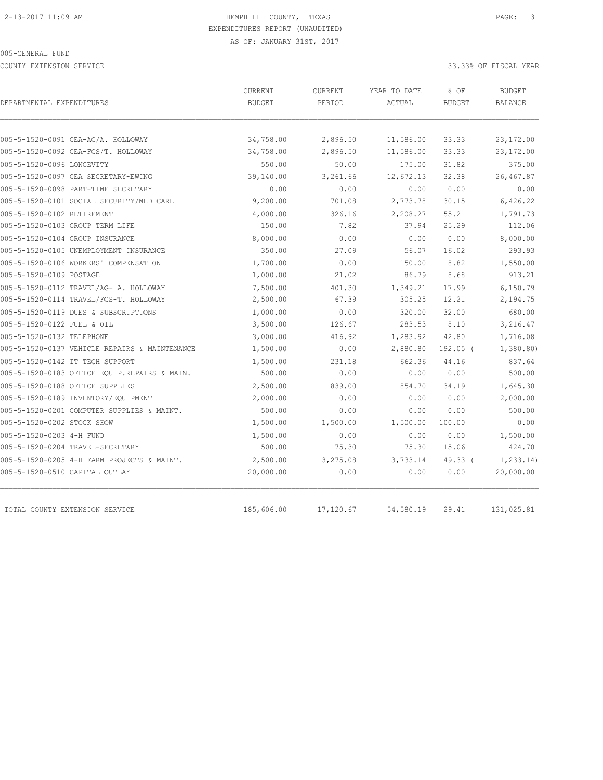COUNTY EXTENSION SERVICE 33.33% OF FISCAL YEAR

| DEPARTMENTAL EXPENDITURES                     | CURRENT<br><b>BUDGET</b> | CURRENT<br>PERIOD | YEAR TO DATE<br>ACTUAL | % OF<br><b>BUDGET</b> | <b>BUDGET</b><br><b>BALANCE</b> |
|-----------------------------------------------|--------------------------|-------------------|------------------------|-----------------------|---------------------------------|
|                                               |                          |                   |                        |                       |                                 |
| 005-5-1520-0091 CEA-AG/A. HOLLOWAY            | 34,758.00                | 2,896.50          | 11,586.00              | 33.33                 | 23,172.00                       |
| 005-5-1520-0092 CEA-FCS/T. HOLLOWAY           | 34,758.00                | 2,896.50          | 11,586.00              | 33.33                 | 23,172.00                       |
| 005-5-1520-0096 LONGEVITY                     | 550.00                   | 50.00             | 175.00                 | 31.82                 | 375.00                          |
| 005-5-1520-0097 CEA SECRETARY-EWING           | 39,140.00                | 3,261.66          | 12,672.13              | 32.38                 | 26,467.87                       |
| 005-5-1520-0098 PART-TIME SECRETARY           | 0.00                     | 0.00              | 0.00                   | 0.00                  | 0.00                            |
| 005-5-1520-0101 SOCIAL SECURITY/MEDICARE      | 9,200.00                 | 701.08            | 2,773.78               | 30.15                 | 6,426.22                        |
| 005-5-1520-0102 RETIREMENT                    | 4,000.00                 | 326.16            | 2,208.27               | 55.21                 | 1,791.73                        |
| 005-5-1520-0103 GROUP TERM LIFE               | 150.00                   | 7.82              | 37.94                  | 25.29                 | 112.06                          |
| 005-5-1520-0104 GROUP INSURANCE               | 8,000.00                 | 0.00              | 0.00                   | 0.00                  | 8,000.00                        |
| 005-5-1520-0105 UNEMPLOYMENT INSURANCE        | 350.00                   | 27.09             | 56.07                  | 16.02                 | 293.93                          |
| 005-5-1520-0106 WORKERS' COMPENSATION         | 1,700.00                 | 0.00              | 150.00                 | 8.82                  | 1,550.00                        |
| 005-5-1520-0109 POSTAGE                       | 1,000.00                 | 21.02             | 86.79                  | 8.68                  | 913.21                          |
| 005-5-1520-0112 TRAVEL/AG- A. HOLLOWAY        | 7,500.00                 | 401.30            | 1,349.21               | 17.99                 | 6,150.79                        |
| 005-5-1520-0114 TRAVEL/FCS-T. HOLLOWAY        | 2,500.00                 | 67.39             | 305.25                 | 12.21                 | 2,194.75                        |
| 005-5-1520-0119 DUES & SUBSCRIPTIONS          | 1,000.00                 | 0.00              | 320.00                 | 32.00                 | 680.00                          |
| 005-5-1520-0122 FUEL & OIL                    | 3,500.00                 | 126.67            | 283.53                 | 8.10                  | 3,216.47                        |
| 005-5-1520-0132 TELEPHONE                     | 3,000.00                 | 416.92            | 1,283.92               | 42.80                 | 1,716.08                        |
| 005-5-1520-0137 VEHICLE REPAIRS & MAINTENANCE | 1,500.00                 | 0.00              | 2,880.80               | $192.05$ (            | 1,380.80)                       |
| 005-5-1520-0142 IT TECH SUPPORT               | 1,500.00                 | 231.18            | 662.36                 | 44.16                 | 837.64                          |
| 005-5-1520-0183 OFFICE EQUIP.REPAIRS & MAIN.  | 500.00                   | 0.00              | 0.00                   | 0.00                  | 500.00                          |
| 005-5-1520-0188 OFFICE SUPPLIES               | 2,500.00                 | 839.00            | 854.70                 | 34.19                 | 1,645.30                        |
| 005-5-1520-0189 INVENTORY/EQUIPMENT           | 2,000.00                 | 0.00              | 0.00                   | 0.00                  | 2,000.00                        |
| 005-5-1520-0201 COMPUTER SUPPLIES & MAINT.    | 500.00                   | 0.00              | 0.00                   | 0.00                  | 500.00                          |
| 005-5-1520-0202 STOCK SHOW                    | 1,500.00                 | 1,500.00          | 1,500.00               | 100.00                | 0.00                            |
| 005-5-1520-0203 4-H FUND                      | 1,500.00                 | 0.00              | 0.00                   | 0.00                  | 1,500.00                        |
| 005-5-1520-0204 TRAVEL-SECRETARY              | 500.00                   | 75.30             | 75.30                  | 15.06                 | 424.70                          |
| 005-5-1520-0205 4-H FARM PROJECTS & MAINT.    | 2,500.00                 | 3,275.08          | 3,733.14               | $149.33$ (            | 1, 233.14                       |
| 005-5-1520-0510 CAPITAL OUTLAY                | 20,000.00                | 0.00              | 0.00                   | 0.00                  | 20,000.00                       |
| TOTAL COUNTY EXTENSION SERVICE                | 185,606.00               | 17,120.67         | 54,580.19              | 29.41                 | 131,025.81                      |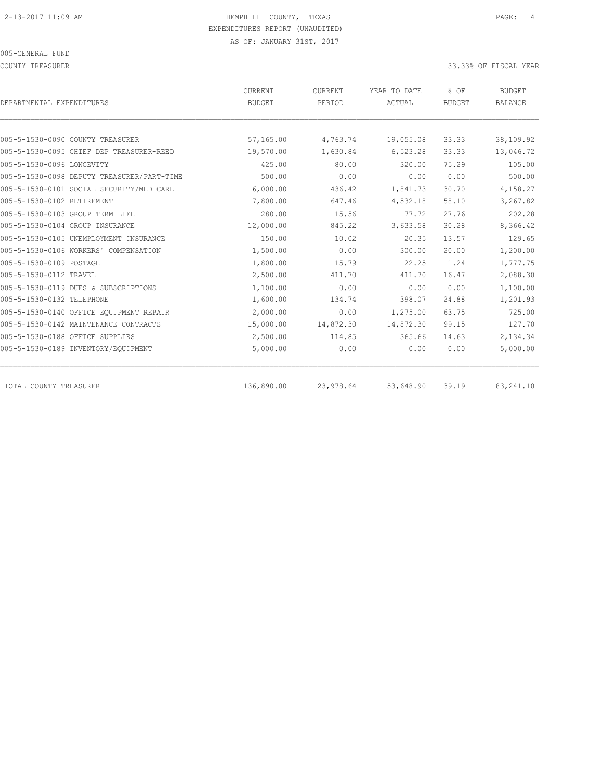COUNTY TREASURER SERVICES AND THE SERVICES OF SERVICES AND THE SERVICES OF STRUCK AND SOMETHEAR COUNTY TREASURER

|                                            | CURRENT       | CURRENT   | YEAR TO DATE | % OF          | <b>BUDGET</b>  |
|--------------------------------------------|---------------|-----------|--------------|---------------|----------------|
| DEPARTMENTAL EXPENDITURES                  | <b>BUDGET</b> | PERIOD    | ACTUAL       | <b>BUDGET</b> | <b>BALANCE</b> |
| 005-5-1530-0090 COUNTY TREASURER           | 57,165.00     | 4,763.74  | 19,055.08    | 33.33         | 38,109.92      |
| 005-5-1530-0095 CHIEF DEP TREASURER-REED   | 19,570.00     | 1,630.84  | 6,523.28     | 33.33         | 13,046.72      |
| 005-5-1530-0096 LONGEVITY                  | 425.00        | 80.00     | 320.00       | 75.29         | 105.00         |
| 005-5-1530-0098 DEPUTY TREASURER/PART-TIME | 500.00        | 0.00      | 0.00         | 0.00          | 500.00         |
| 005-5-1530-0101 SOCIAL SECURITY/MEDICARE   | 6,000.00      | 436.42    | 1,841.73     | 30.70         | 4,158.27       |
| 005-5-1530-0102 RETIREMENT                 | 7,800.00      | 647.46    | 4,532.18     | 58.10         | 3,267.82       |
| 005-5-1530-0103 GROUP TERM LIFE            | 280.00        | 15.56     | 77.72        | 27.76         | 202.28         |
| 005-5-1530-0104 GROUP INSURANCE            | 12,000.00     | 845.22    | 3,633.58     | 30.28         | 8,366.42       |
| 005-5-1530-0105 UNEMPLOYMENT INSURANCE     | 150.00        | 10.02     | 20.35        | 13.57         | 129.65         |
| 005-5-1530-0106 WORKERS' COMPENSATION      | 1,500.00      | 0.00      | 300.00       | 20.00         | 1,200.00       |
| 005-5-1530-0109 POSTAGE                    | 1,800.00      | 15.79     | 22.25        | 1.24          | 1,777.75       |
| 005-5-1530-0112 TRAVEL                     | 2,500.00      | 411.70    | 411.70       | 16.47         | 2,088.30       |
| 005-5-1530-0119 DUES & SUBSCRIPTIONS       | 1,100.00      | 0.00      | 0.00         | 0.00          | 1,100.00       |
| 005-5-1530-0132 TELEPHONE                  | 1,600.00      | 134.74    | 398.07       | 24.88         | 1,201.93       |
| 005-5-1530-0140 OFFICE EQUIPMENT REPAIR    | 2,000.00      | 0.00      | 1,275.00     | 63.75         | 725.00         |
| 005-5-1530-0142 MAINTENANCE CONTRACTS      | 15,000.00     | 14,872.30 | 14,872.30    | 99.15         | 127.70         |
| 005-5-1530-0188 OFFICE SUPPLIES            | 2,500.00      | 114.85    | 365.66       | 14.63         | 2,134.34       |
| 005-5-1530-0189 INVENTORY/EQUIPMENT        | 5,000.00      | 0.00      | 0.00         | 0.00          | 5,000.00       |
| TOTAL COUNTY TREASURER                     | 136,890.00    | 23,978.64 | 53,648.90    | 39.19         | 83, 241.10     |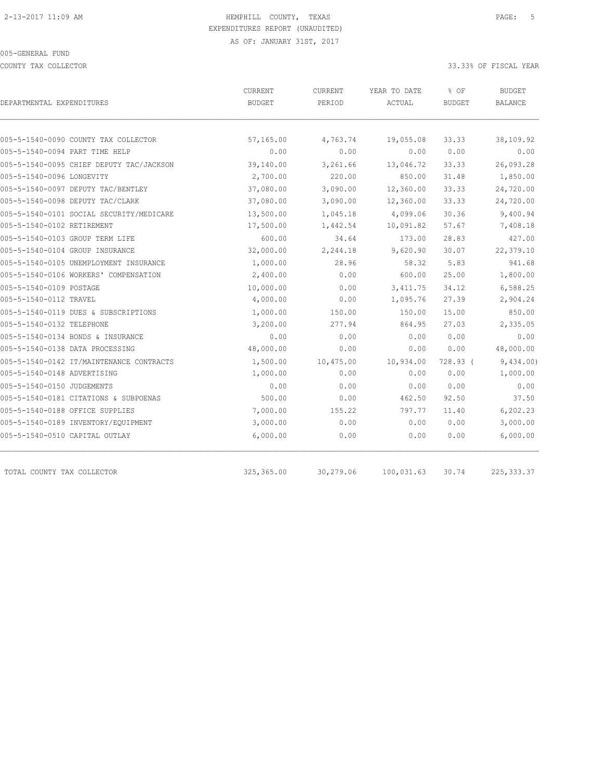COUNTY TAX COLLECTOR 33.33% OF FISCAL YEAR

| DEPARTMENTAL EXPENDITURES                | CURRENT<br><b>BUDGET</b> | <b>CURRENT</b><br>PERIOD | YEAR TO DATE<br>ACTUAL | % OF<br><b>BUDGET</b> | <b>BUDGET</b><br>BALANCE |
|------------------------------------------|--------------------------|--------------------------|------------------------|-----------------------|--------------------------|
|                                          |                          |                          |                        |                       |                          |
| 005-5-1540-0090 COUNTY TAX COLLECTOR     | 57,165.00                | 4,763.74                 | 19,055.08              | 33.33                 | 38,109.92                |
| 005-5-1540-0094 PART TIME HELP           | 0.00                     | 0.00                     | 0.00                   | 0.00                  | 0.00                     |
| 005-5-1540-0095 CHIEF DEPUTY TAC/JACKSON | 39,140.00                | 3,261.66                 | 13,046.72              | 33.33                 | 26,093.28                |
| 005-5-1540-0096 LONGEVITY                | 2,700.00                 | 220.00                   | 850.00                 | 31.48                 | 1,850.00                 |
| 005-5-1540-0097 DEPUTY TAC/BENTLEY       | 37,080.00                | 3,090.00                 | 12,360.00              | 33.33                 | 24,720.00                |
| 005-5-1540-0098 DEPUTY TAC/CLARK         | 37,080.00                | 3,090.00                 | 12,360.00              | 33.33                 | 24,720.00                |
| 005-5-1540-0101 SOCIAL SECURITY/MEDICARE | 13,500.00                | 1,045.18                 | 4,099.06               | 30.36                 | 9,400.94                 |
| 005-5-1540-0102 RETIREMENT               | 17,500.00                | 1,442.54                 | 10,091.82              | 57.67                 | 7,408.18                 |
| 005-5-1540-0103 GROUP TERM LIFE          | 600.00                   | 34.64                    | 173.00                 | 28.83                 | 427.00                   |
| 005-5-1540-0104 GROUP INSURANCE          | 32,000.00                | 2,244.18                 | 9,620.90               | 30.07                 | 22,379.10                |
| 005-5-1540-0105 UNEMPLOYMENT INSURANCE   | 1,000.00                 | 28.96                    | 58.32                  | 5.83                  | 941.68                   |
| 005-5-1540-0106 WORKERS' COMPENSATION    | 2,400.00                 | 0.00                     | 600.00                 | 25.00                 | 1,800.00                 |
| 005-5-1540-0109 POSTAGE                  | 10,000.00                | 0.00                     | 3, 411.75              | 34.12                 | 6,588.25                 |
| 005-5-1540-0112 TRAVEL                   | 4,000.00                 | 0.00                     | 1,095.76               | 27.39                 | 2,904.24                 |
| 005-5-1540-0119 DUES & SUBSCRIPTIONS     | 1,000.00                 | 150.00                   | 150.00                 | 15.00                 | 850.00                   |
| 005-5-1540-0132 TELEPHONE                | 3,200.00                 | 277.94                   | 864.95                 | 27.03                 | 2,335.05                 |
| 005-5-1540-0134 BONDS & INSURANCE        | 0.00                     | 0.00                     | 0.00                   | 0.00                  | 0.00                     |
| 005-5-1540-0138 DATA PROCESSING          | 48,000.00                | 0.00                     | 0.00                   | 0.00                  | 48,000.00                |
| 005-5-1540-0142 IT/MAINTENANCE CONTRACTS | 1,500.00                 | 10,475.00                | 10,934.00              | 728.93 (              | 9,434.00)                |
| 005-5-1540-0148 ADVERTISING              | 1,000.00                 | 0.00                     | 0.00                   | 0.00                  | 1,000.00                 |
| 005-5-1540-0150 JUDGEMENTS               | 0.00                     | 0.00                     | 0.00                   | 0.00                  | 0.00                     |
| 005-5-1540-0181 CITATIONS & SUBPOENAS    | 500.00                   | 0.00                     | 462.50                 | 92.50                 | 37.50                    |
| 005-5-1540-0188 OFFICE SUPPLIES          | 7,000.00                 | 155.22                   | 797.77                 | 11.40                 | 6,202.23                 |
| 005-5-1540-0189 INVENTORY/EQUIPMENT      | 3,000.00                 | 0.00                     | 0.00                   | 0.00                  | 3,000.00                 |
| 005-5-1540-0510 CAPITAL OUTLAY           | 6,000.00                 | 0.00                     | 0.00                   | 0.00                  | 6,000.00                 |
| TOTAL COUNTY TAX COLLECTOR               | 325, 365.00              | 30,279.06                | 100,031.63             | 30.74                 | 225, 333.37              |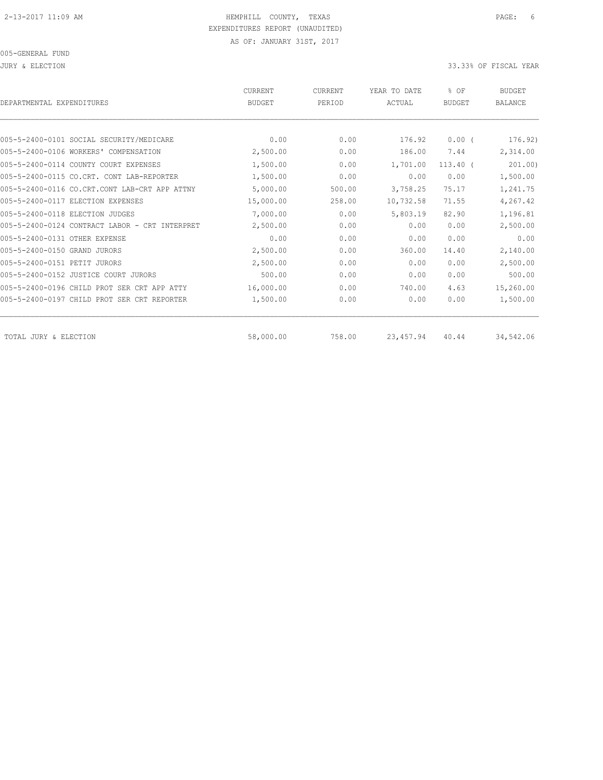JURY & ELECTION 33.33% OF FISCAL YEAR

| DEPARTMENTAL EXPENDITURES                      | <b>CURRENT</b><br><b>BUDGET</b> | <b>CURRENT</b><br>PERIOD | YEAR TO DATE<br>ACTUAL | % OF<br><b>BUDGET</b> | <b>BUDGET</b><br><b>BALANCE</b> |
|------------------------------------------------|---------------------------------|--------------------------|------------------------|-----------------------|---------------------------------|
|                                                |                                 |                          |                        |                       |                                 |
| 005-5-2400-0101 SOCIAL SECURITY/MEDICARE       | 0.00                            | 0.00                     | 176.92                 | $0.00$ (              | 176.92)                         |
| 005-5-2400-0106 WORKERS' COMPENSATION          | 2,500.00                        | 0.00                     | 186.00                 | 7.44                  | 2,314.00                        |
| 005-5-2400-0114 COUNTY COURT EXPENSES          | 1,500.00                        | 0.00                     | 1,701.00               | $113.40$ (            | 201.00)                         |
| 005-5-2400-0115 CO.CRT. CONT LAB-REPORTER      | 1,500.00                        | 0.00                     | 0.00                   | 0.00                  | 1,500.00                        |
| 005-5-2400-0116 CO.CRT.CONT LAB-CRT APP ATTNY  | 5,000.00                        | 500.00                   | 3,758.25               | 75.17                 | 1,241.75                        |
| 005-5-2400-0117 ELECTION EXPENSES              | 15,000.00                       | 258.00                   | 10,732.58              | 71.55                 | 4,267.42                        |
| 005-5-2400-0118 ELECTION JUDGES                | 7,000.00                        | 0.00                     | 5,803.19               | 82.90                 | 1,196.81                        |
| 005-5-2400-0124 CONTRACT LABOR - CRT INTERPRET | 2,500.00                        | 0.00                     | 0.00                   | 0.00                  | 2,500.00                        |
| 005-5-2400-0131 OTHER EXPENSE                  | 0.00                            | 0.00                     | 0.00                   | 0.00                  | 0.00                            |
| 005-5-2400-0150 GRAND JURORS                   | 2,500.00                        | 0.00                     | 360.00                 | 14.40                 | 2,140.00                        |
| 005-5-2400-0151 PETIT JURORS                   | 2,500.00                        | 0.00                     | 0.00                   | 0.00                  | 2,500.00                        |
| 005-5-2400-0152 JUSTICE COURT JURORS           | 500.00                          | 0.00                     | 0.00                   | 0.00                  | 500.00                          |
| 005-5-2400-0196 CHILD PROT SER CRT APP ATTY    | 16,000.00                       | 0.00                     | 740.00                 | 4.63                  | 15,260.00                       |
| 005-5-2400-0197 CHILD PROT SER CRT REPORTER    | 1,500.00                        | 0.00                     | 0.00                   | 0.00                  | 1,500.00                        |
| TOTAL JURY & ELECTION                          | 58,000.00                       | 758.00                   | 23, 457.94             | 40.44                 | 34,542.06                       |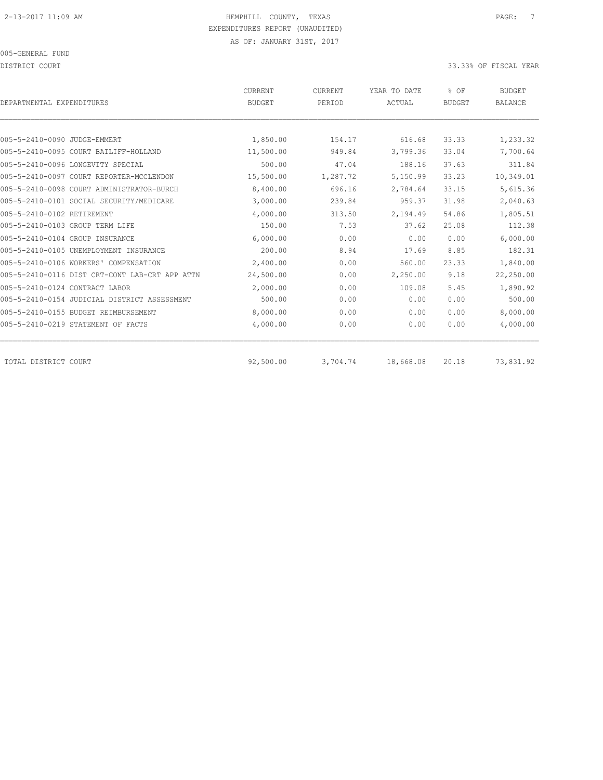DISTRICT COURT COURT COURT COURT COURT COURT COURT COURT COURT COURT COURT COURT COURT COURT COURT COURT COURT

| DEPARTMENTAL EXPENDITURES                      | CURRENT<br><b>BUDGET</b> | CURRENT<br>PERIOD | YEAR TO DATE<br>ACTUAL | % OF<br><b>BUDGET</b> | <b>BUDGET</b><br><b>BALANCE</b> |
|------------------------------------------------|--------------------------|-------------------|------------------------|-----------------------|---------------------------------|
|                                                |                          |                   |                        |                       |                                 |
| 005-5-2410-0090 JUDGE-EMMERT                   | 1,850.00                 | 154.17            | 616.68                 | 33.33                 | 1,233.32                        |
| 005-5-2410-0095 COURT BAILIFF-HOLLAND          | 11,500.00                | 949.84            | 3,799.36               | 33.04                 | 7,700.64                        |
| 005-5-2410-0096 LONGEVITY SPECIAL              | 500.00                   | 47.04             | 188.16                 | 37.63                 | 311.84                          |
| 005-5-2410-0097 COURT REPORTER-MCCLENDON       | 15,500.00                | 1,287.72          | 5,150.99               | 33.23                 | 10,349.01                       |
| 005-5-2410-0098 COURT ADMINISTRATOR-BURCH      | 8,400.00                 | 696.16            | 2,784.64               | 33.15                 | 5,615.36                        |
| 005-5-2410-0101 SOCIAL SECURITY/MEDICARE       | 3,000.00                 | 239.84            | 959.37                 | 31.98                 | 2,040.63                        |
| 005-5-2410-0102 RETIREMENT                     | 4,000.00                 | 313.50            | 2,194.49               | 54.86                 | 1,805.51                        |
| 005-5-2410-0103 GROUP TERM LIFE                | 150.00                   | 7.53              | 37.62                  | 25.08                 | 112.38                          |
| 005-5-2410-0104 GROUP INSURANCE                | 6,000.00                 | 0.00              | 0.00                   | 0.00                  | 6,000.00                        |
| 005-5-2410-0105 UNEMPLOYMENT INSURANCE         | 200.00                   | 8.94              | 17.69                  | 8.85                  | 182.31                          |
| 005-5-2410-0106 WORKERS' COMPENSATION          | 2,400.00                 | 0.00              | 560.00                 | 23.33                 | 1,840.00                        |
| 005-5-2410-0116 DIST CRT-CONT LAB-CRT APP ATTN | 24,500.00                | 0.00              | 2,250.00               | 9.18                  | 22,250.00                       |
| 005-5-2410-0124 CONTRACT LABOR                 | 2,000.00                 | 0.00              | 109.08                 | 5.45                  | 1,890.92                        |
| 005-5-2410-0154 JUDICIAL DISTRICT ASSESSMENT   | 500.00                   | 0.00              | 0.00                   | 0.00                  | 500.00                          |
| 005-5-2410-0155 BUDGET REIMBURSEMENT           | 8,000.00                 | 0.00              | 0.00                   | 0.00                  | 8,000.00                        |
| 005-5-2410-0219 STATEMENT OF FACTS             | 4,000.00                 | 0.00              | 0.00                   | 0.00                  | 4,000.00                        |
| TOTAL DISTRICT COURT                           | 92,500.00                | 3,704.74          | 18,668.08              | 20.18                 | 73,831.92                       |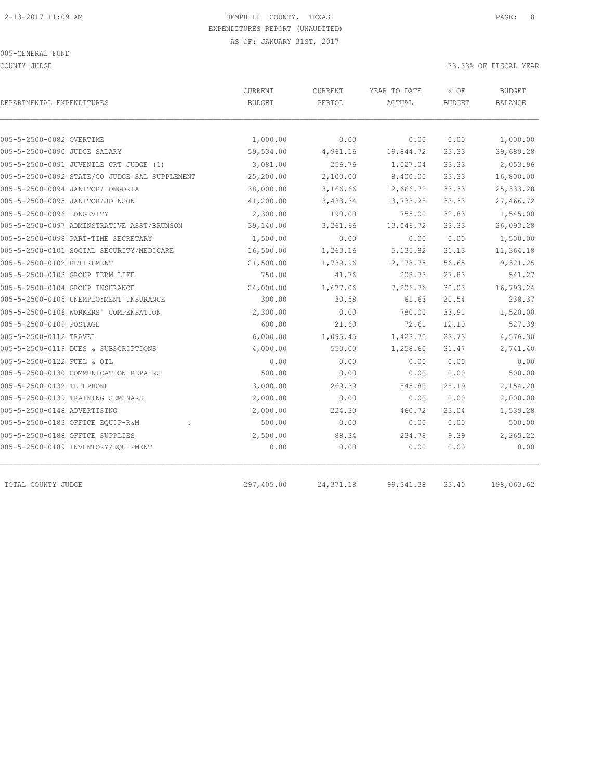COUNTY JUDGE 33.33% OF FISCAL YEAR

| DEPARTMENTAL EXPENDITURES                     | CURRENT<br><b>BUDGET</b> | <b>CURRENT</b><br>PERIOD | YEAR TO DATE<br>ACTUAL | % OF<br><b>BUDGET</b> | <b>BUDGET</b><br><b>BALANCE</b> |
|-----------------------------------------------|--------------------------|--------------------------|------------------------|-----------------------|---------------------------------|
|                                               |                          |                          |                        |                       |                                 |
| 005-5-2500-0082 OVERTIME                      | 1,000.00                 | 0.00                     | 0.00                   | 0.00                  | 1,000.00                        |
| 005-5-2500-0090 JUDGE SALARY                  | 59,534.00                | 4,961.16                 | 19,844.72              | 33.33                 | 39,689.28                       |
| 005-5-2500-0091 JUVENILE CRT JUDGE (1)        | 3,081.00                 | 256.76                   | 1,027.04               | 33.33                 | 2,053.96                        |
| 005-5-2500-0092 STATE/CO JUDGE SAL SUPPLEMENT | 25,200.00                | 2,100.00                 | 8,400.00               | 33.33                 | 16,800.00                       |
| 005-5-2500-0094 JANITOR/LONGORIA              | 38,000.00                | 3,166.66                 | 12,666.72              | 33.33                 | 25, 333.28                      |
| 005-5-2500-0095 JANITOR/JOHNSON               | 41,200.00                | 3,433.34                 | 13,733.28              | 33.33                 | 27,466.72                       |
| 005-5-2500-0096 LONGEVITY                     | 2,300.00                 | 190.00                   | 755.00                 | 32.83                 | 1,545.00                        |
| 005-5-2500-0097 ADMINSTRATIVE ASST/BRUNSON    | 39,140.00                | 3,261.66                 | 13,046.72              | 33.33                 | 26,093.28                       |
| 005-5-2500-0098 PART-TIME SECRETARY           | 1,500.00                 | 0.00                     | 0.00                   | 0.00                  | 1,500.00                        |
| 005-5-2500-0101 SOCIAL SECURITY/MEDICARE      | 16,500.00                | 1,263.16                 | 5, 135.82              | 31.13                 | 11,364.18                       |
| 005-5-2500-0102 RETIREMENT                    | 21,500.00                | 1,739.96                 | 12, 178.75             | 56.65                 | 9,321.25                        |
| 005-5-2500-0103 GROUP TERM LIFE               | 750.00                   | 41.76                    | 208.73                 | 27.83                 | 541.27                          |
| 005-5-2500-0104 GROUP INSURANCE               | 24,000.00                | 1,677.06                 | 7,206.76               | 30.03                 | 16,793.24                       |
| 005-5-2500-0105 UNEMPLOYMENT INSURANCE        | 300.00                   | 30.58                    | 61.63                  | 20.54                 | 238.37                          |
| 005-5-2500-0106 WORKERS' COMPENSATION         | 2,300.00                 | 0.00                     | 780.00                 | 33.91                 | 1,520.00                        |
| 005-5-2500-0109 POSTAGE                       | 600.00                   | 21.60                    | 72.61                  | 12.10                 | 527.39                          |
| 005-5-2500-0112 TRAVEL                        | 6,000.00                 | 1,095.45                 | 1,423.70               | 23.73                 | 4,576.30                        |
| 005-5-2500-0119 DUES & SUBSCRIPTIONS          | 4,000.00                 | 550.00                   | 1,258.60               | 31.47                 | 2,741.40                        |
| 005-5-2500-0122 FUEL & OIL                    | 0.00                     | 0.00                     | 0.00                   | 0.00                  | 0.00                            |
| 005-5-2500-0130 COMMUNICATION REPAIRS         | 500.00                   | 0.00                     | 0.00                   | 0.00                  | 500.00                          |
| 005-5-2500-0132 TELEPHONE                     | 3,000.00                 | 269.39                   | 845.80                 | 28.19                 | 2,154.20                        |
| 005-5-2500-0139 TRAINING SEMINARS             | 2,000.00                 | 0.00                     | 0.00                   | 0.00                  | 2,000.00                        |
| 005-5-2500-0148 ADVERTISING                   | 2,000.00                 | 224.30                   | 460.72                 | 23.04                 | 1,539.28                        |
| 005-5-2500-0183 OFFICE EQUIP-R&M              | 500.00                   | 0.00                     | 0.00                   | 0.00                  | 500.00                          |
| 005-5-2500-0188 OFFICE SUPPLIES               | 2,500.00                 | 88.34                    | 234.78                 | 9.39                  | 2,265.22                        |
| 005-5-2500-0189 INVENTORY/EQUIPMENT           | 0.00                     | 0.00                     | 0.00                   | 0.00                  | 0.00                            |
| TOTAL COUNTY JUDGE                            | 297,405.00               | 24, 371.18               | 99, 341.38             | 33.40                 | 198,063.62                      |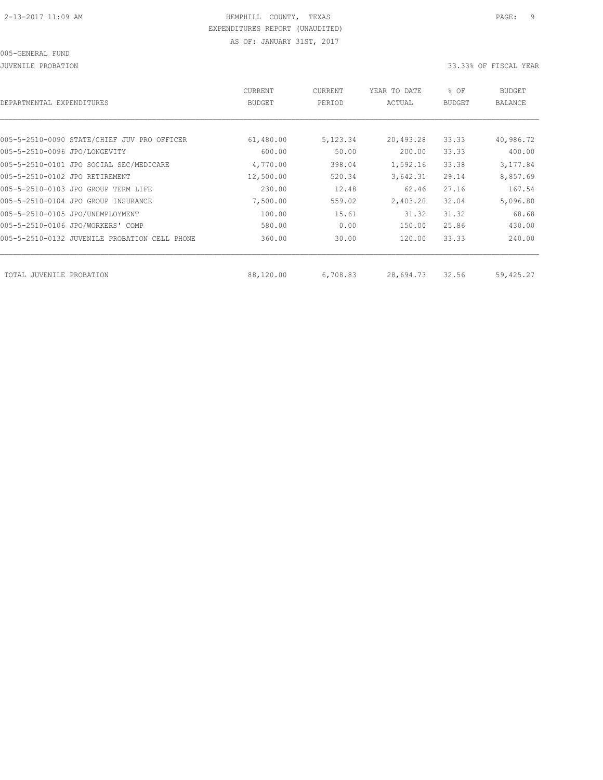JUVENILE PROBATION 33.33% OF FISCAL YEAR

| DEPARTMENTAL EXPENDITURES                        | <b>CURRENT</b><br><b>BUDGET</b> | <b>CURRENT</b><br>PERIOD | YEAR TO DATE<br>ACTUAL | % OF<br><b>BUDGET</b> | <b>BUDGET</b><br><b>BALANCE</b> |
|--------------------------------------------------|---------------------------------|--------------------------|------------------------|-----------------------|---------------------------------|
|                                                  |                                 |                          |                        |                       |                                 |
| 005-5-2510-0090 STATE/CHIEF JUV PRO OFFICER      | 61,480.00                       | 5,123.34                 | 20,493.28              | 33.33                 | 40,986.72                       |
| 005-5-2510-0096 JPO/LONGEVITY                    | 600.00                          | 50.00                    | 200.00                 | 33.33                 | 400.00                          |
| 005-5-2510-0101 JPO SOCIAL SEC/MEDICARE          | 4,770.00                        | 398.04                   | 1,592.16               | 33.38                 | 3,177.84                        |
| 005-5-2510-0102 JPO RETIREMENT                   | 12,500.00                       | 520.34                   | 3,642.31               | 29.14                 | 8,857.69                        |
| 005-5-2510-0103 JPO GROUP TERM LIFE              | 230.00                          | 12.48                    | 62.46                  | 27.16                 | 167.54                          |
| 005-5-2510-0104 JPO GROUP INSURANCE              | 7,500.00                        | 559.02                   | 2,403.20               | 32.04                 | 5,096.80                        |
| 005-5-2510-0105 JPO/UNEMPLOYMENT                 | 100.00                          | 15.61                    | 31.32                  | 31.32                 | 68.68                           |
| 005-5-2510-0106 JPO/WORKERS' COMP                | 580.00                          | 0.00                     | 150.00                 | 25.86                 | 430.00                          |
| 005-5-2510-0132 JUVENILE PROBATION<br>CELL PHONE | 360.00                          | 30.00                    | 120.00                 | 33.33                 | 240.00                          |
|                                                  |                                 |                          |                        |                       |                                 |
| TOTAL JUVENILE PROBATION                         | 88,120.00                       | 6,708.83                 | 28,694.73              | 32.56                 | 59,425.27                       |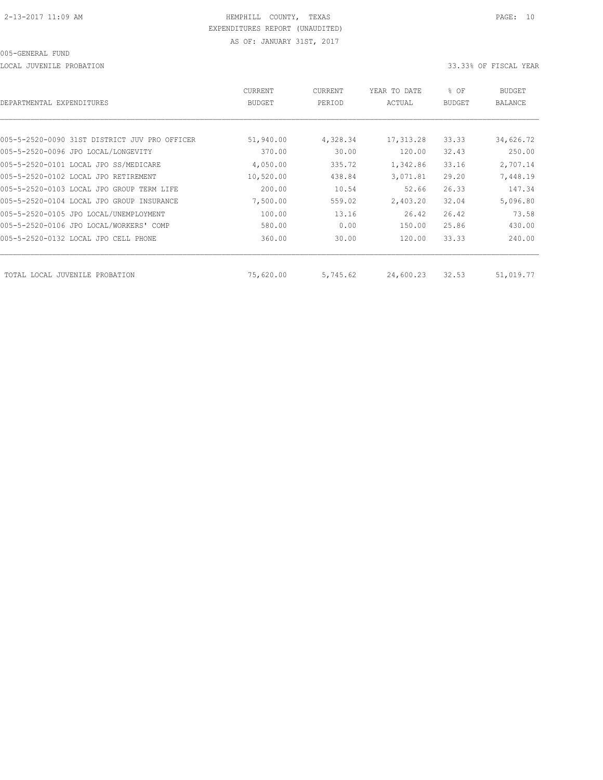LOCAL JUVENILE PROBATION 33.33% OF FISCAL YEAR

| DEPARTMENTAL EXPENDITURES                     | <b>CURRENT</b><br><b>BUDGET</b> | CURRENT<br>PERIOD | YEAR TO DATE<br>ACTUAL | % OF<br><b>BUDGET</b> | BUDGET<br><b>BALANCE</b> |
|-----------------------------------------------|---------------------------------|-------------------|------------------------|-----------------------|--------------------------|
|                                               |                                 |                   |                        |                       |                          |
| 005-5-2520-0090 31ST DISTRICT JUV PRO OFFICER | 51,940.00                       | 4,328.34          | 17, 313.28             | 33.33                 | 34,626.72                |
| 005-5-2520-0096 JPO LOCAL/LONGEVITY           | 370.00                          | 30.00             | 120.00                 | 32.43                 | 250.00                   |
| 005-5-2520-0101 LOCAL JPO SS/MEDICARE         | 4,050.00                        | 335.72            | 1,342.86               | 33.16                 | 2,707.14                 |
| 005-5-2520-0102 LOCAL JPO RETIREMENT          | 10,520.00                       | 438.84            | 3,071.81               | 29.20                 | 7,448.19                 |
| 005-5-2520-0103 LOCAL JPO GROUP TERM LIFE     | 200.00                          | 10.54             | 52.66                  | 26.33                 | 147.34                   |
| 005-5-2520-0104 LOCAL JPO GROUP INSURANCE     | 7,500.00                        | 559.02            | 2,403.20               | 32.04                 | 5,096.80                 |
| 005-5-2520-0105 JPO LOCAL/UNEMPLOYMENT        | 100.00                          | 13.16             | 26.42                  | 26.42                 | 73.58                    |
| 005-5-2520-0106 JPO LOCAL/WORKERS' COMP       | 580.00                          | 0.00              | 150.00                 | 25.86                 | 430.00                   |
| 005-5-2520-0132 LOCAL JPO CELL PHONE          | 360.00                          | 30.00             | 120.00                 | 33.33                 | 240.00                   |
| TOTAL LOCAL JUVENILE<br>PROBATION             | 75,620.00                       | 5,745.62          | 24,600.23              | 32.53                 | 51,019.77                |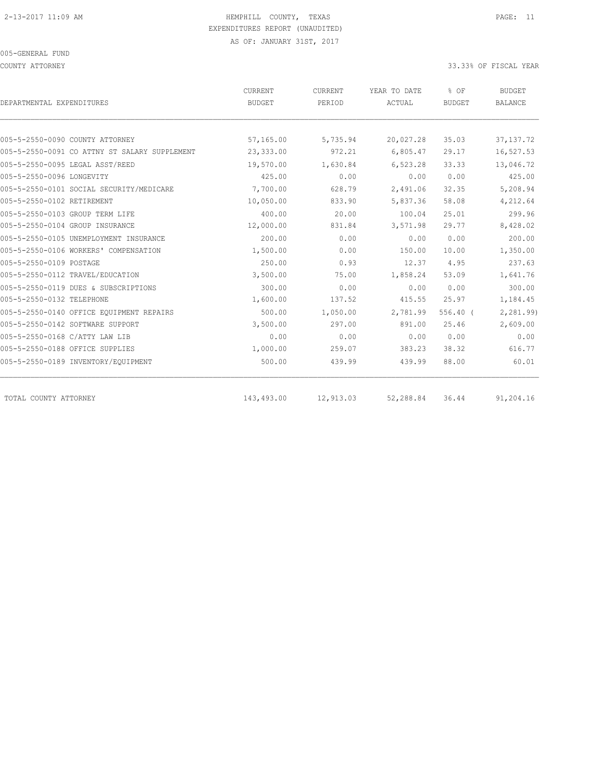COUNTY ATTORNEY 33.33% OF FISCAL YEAR

| DEPARTMENTAL EXPENDITURES                     | CURRENT<br><b>BUDGET</b> | CURRENT<br>PERIOD | YEAR TO DATE<br>ACTUAL | % OF<br><b>BUDGET</b> | <b>BUDGET</b><br><b>BALANCE</b> |
|-----------------------------------------------|--------------------------|-------------------|------------------------|-----------------------|---------------------------------|
|                                               |                          |                   |                        |                       |                                 |
| 005-5-2550-0090 COUNTY ATTORNEY               | 57,165.00                | 5,735.94          | 20,027.28              | 35.03                 | 37, 137. 72                     |
| 005-5-2550-0091 CO ATTNY ST SALARY SUPPLEMENT | 23,333.00                | 972.21            | 6,805.47               | 29.17                 | 16,527.53                       |
| 005-5-2550-0095 LEGAL ASST/REED               | 19,570.00                | 1,630.84          | 6,523.28               | 33.33                 | 13,046.72                       |
| 005-5-2550-0096 LONGEVITY                     | 425.00                   | 0.00              | 0.00                   | 0.00                  | 425.00                          |
| 005-5-2550-0101 SOCIAL SECURITY/MEDICARE      | 7,700.00                 | 628.79            | 2,491.06               | 32.35                 | 5,208.94                        |
| 005-5-2550-0102 RETIREMENT                    | 10,050.00                | 833.90            | 5,837.36               | 58.08                 | 4,212.64                        |
| 005-5-2550-0103 GROUP TERM LIFE               | 400.00                   | 20.00             | 100.04                 | 25.01                 | 299.96                          |
| 005-5-2550-0104 GROUP INSURANCE               | 12,000.00                | 831.84            | 3,571.98               | 29.77                 | 8,428.02                        |
| 005-5-2550-0105 UNEMPLOYMENT INSURANCE        | 200.00                   | 0.00              | 0.00                   | 0.00                  | 200.00                          |
| 005-5-2550-0106 WORKERS' COMPENSATION         | 1,500.00                 | 0.00              | 150.00                 | 10.00                 | 1,350.00                        |
| 005-5-2550-0109 POSTAGE                       | 250.00                   | 0.93              | 12.37                  | 4.95                  | 237.63                          |
| 005-5-2550-0112 TRAVEL/EDUCATION              | 3,500.00                 | 75.00             | 1,858.24               | 53.09                 | 1,641.76                        |
| 005-5-2550-0119 DUES & SUBSCRIPTIONS          | 300.00                   | 0.00              | 0.00                   | 0.00                  | 300.00                          |
| 005-5-2550-0132 TELEPHONE                     | 1,600.00                 | 137.52            | 415.55                 | 25.97                 | 1,184.45                        |
| 005-5-2550-0140 OFFICE EQUIPMENT REPAIRS      | 500.00                   | 1,050.00          | 2,781.99               | $556.40$ (            | 2,281.99)                       |
| 005-5-2550-0142 SOFTWARE SUPPORT              | 3,500.00                 | 297.00            | 891.00                 | 25.46                 | 2,609.00                        |
| 005-5-2550-0168 C/ATTY LAW LIB                | 0.00                     | 0.00              | 0.00                   | 0.00                  | 0.00                            |
| 005-5-2550-0188 OFFICE SUPPLIES               | 1,000.00                 | 259.07            | 383.23                 | 38.32                 | 616.77                          |
| 005-5-2550-0189 INVENTORY/EQUIPMENT           | 500.00                   | 439.99            | 439.99                 | 88.00                 | 60.01                           |
| TOTAL COUNTY ATTORNEY                         | 143,493.00               | 12,913.03         | 52,288.84              | 36.44                 | 91,204.16                       |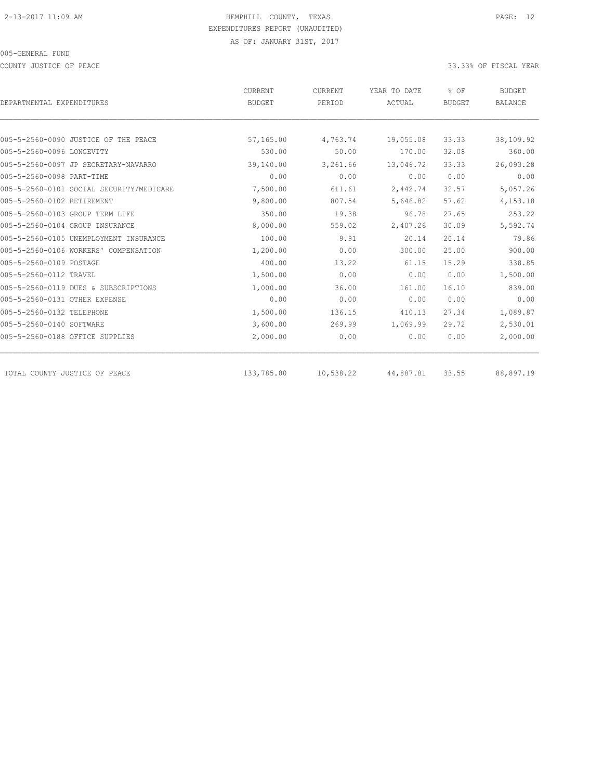COUNTY JUSTICE OF PEACE **33.33%** OF FISCAL YEAR

|                                          | <b>CURRENT</b> | <b>CURRENT</b> | YEAR TO DATE | % OF          | <b>BUDGET</b>  |
|------------------------------------------|----------------|----------------|--------------|---------------|----------------|
| DEPARTMENTAL EXPENDITURES                | <b>BUDGET</b>  | PERIOD         | ACTUAL       | <b>BUDGET</b> | <b>BALANCE</b> |
|                                          |                |                |              |               |                |
| 005-5-2560-0090 JUSTICE OF THE PEACE     | 57,165.00      | 4,763.74       | 19,055.08    | 33.33         | 38,109.92      |
| 005-5-2560-0096 LONGEVITY                | 530.00         | 50.00          | 170.00       | 32.08         | 360.00         |
| 005-5-2560-0097 JP SECRETARY-NAVARRO     | 39,140.00      | 3,261.66       | 13,046.72    | 33.33         | 26,093.28      |
| 005-5-2560-0098 PART-TIME                | 0.00           | 0.00           | 0.00         | 0.00          | 0.00           |
| 005-5-2560-0101 SOCIAL SECURITY/MEDICARE | 7,500.00       | 611.61         | 2,442.74     | 32.57         | 5,057.26       |
| 005-5-2560-0102 RETIREMENT               | 9,800.00       | 807.54         | 5,646.82     | 57.62         | 4,153.18       |
| 005-5-2560-0103 GROUP TERM LIFE          | 350.00         | 19.38          | 96.78        | 27.65         | 253.22         |
| 005-5-2560-0104 GROUP INSURANCE          | 8,000.00       | 559.02         | 2,407.26     | 30.09         | 5,592.74       |
| 005-5-2560-0105 UNEMPLOYMENT INSURANCE   | 100.00         | 9.91           | 20.14        | 20.14         | 79.86          |
| 005-5-2560-0106 WORKERS' COMPENSATION    | 1,200.00       | 0.00           | 300.00       | 25.00         | 900.00         |
| 005-5-2560-0109 POSTAGE                  | 400.00         | 13.22          | 61.15        | 15.29         | 338.85         |
| 005-5-2560-0112 TRAVEL                   | 1,500.00       | 0.00           | 0.00         | 0.00          | 1,500.00       |
| 005-5-2560-0119 DUES & SUBSCRIPTIONS     | 1,000.00       | 36.00          | 161.00       | 16.10         | 839.00         |
| 005-5-2560-0131 OTHER EXPENSE            | 0.00           | 0.00           | 0.00         | 0.00          | 0.00           |
| 005-5-2560-0132 TELEPHONE                | 1,500.00       | 136.15         | 410.13       | 27.34         | 1,089.87       |
| 005-5-2560-0140 SOFTWARE                 | 3,600.00       | 269.99         | 1,069.99     | 29.72         | 2,530.01       |
| 005-5-2560-0188 OFFICE SUPPLIES          | 2,000.00       | 0.00           | 0.00         | 0.00          | 2,000.00       |
| TOTAL COUNTY JUSTICE OF PEACE            | 133,785.00     | 10,538.22      | 44,887.81    | 33.55         | 88,897.19      |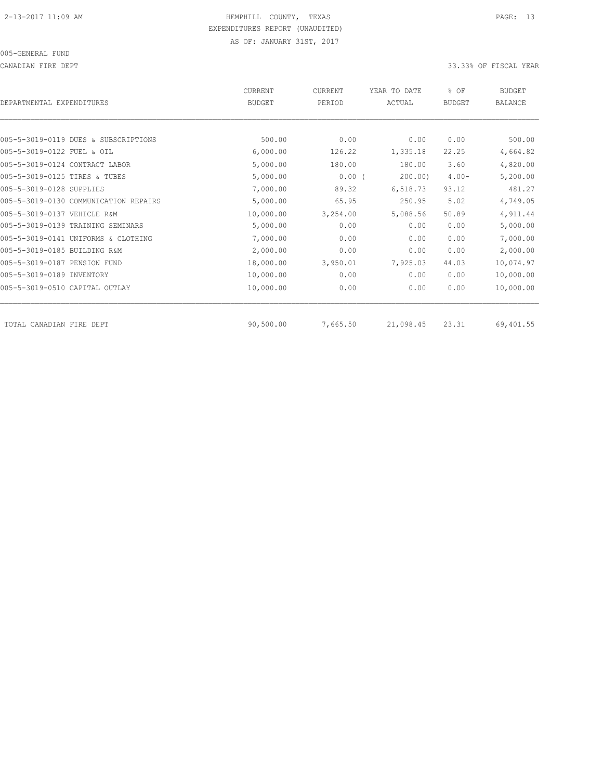CANADIAN FIRE DEPT 33.33% OF FISCAL YEAR

| DEPARTMENTAL EXPENDITURES             | CURRENT<br>BUDGET | CURRENT<br>PERIOD | YEAR TO DATE<br>ACTUAL | % OF<br><b>BUDGET</b> | <b>BUDGET</b><br>BALANCE |
|---------------------------------------|-------------------|-------------------|------------------------|-----------------------|--------------------------|
|                                       |                   |                   |                        |                       |                          |
| 005-5-3019-0119 DUES & SUBSCRIPTIONS  | 500.00            | 0.00              | 0.00                   | 0.00                  | 500.00                   |
| 005-5-3019-0122 FUEL & OIL            | 6,000.00          | 126.22            | 1,335.18               | 22.25                 | 4,664.82                 |
| 005-5-3019-0124 CONTRACT LABOR        | 5,000.00          | 180.00            | 180.00                 | 3.60                  | 4,820.00                 |
| 005-5-3019-0125 TIRES & TUBES         | 5,000.00          | $0.00$ (          | 200.00                 | $4.00 -$              | 5,200.00                 |
| 005-5-3019-0128 SUPPLIES              | 7,000.00          | 89.32             | 6,518.73               | 93.12                 | 481.27                   |
| 005-5-3019-0130 COMMUNICATION REPAIRS | 5,000.00          | 65.95             | 250.95                 | 5.02                  | 4,749.05                 |
| 005-5-3019-0137 VEHICLE R&M           | 10,000.00         | 3,254.00          | 5,088.56               | 50.89                 | 4,911.44                 |
| 005-5-3019-0139 TRAINING SEMINARS     | 5,000.00          | 0.00              | 0.00                   | 0.00                  | 5,000.00                 |
| 005-5-3019-0141 UNIFORMS & CLOTHING   | 7,000.00          | 0.00              | 0.00                   | 0.00                  | 7,000.00                 |
| 005-5-3019-0185 BUILDING R&M          | 2,000.00          | 0.00              | 0.00                   | 0.00                  | 2,000.00                 |
| 005-5-3019-0187 PENSION FUND          | 18,000.00         | 3,950.01          | 7,925.03               | 44.03                 | 10,074.97                |
| 005-5-3019-0189 INVENTORY             | 10,000.00         | 0.00              | 0.00                   | 0.00                  | 10,000.00                |
| 005-5-3019-0510 CAPITAL OUTLAY        | 10,000.00         | 0.00              | 0.00                   | 0.00                  | 10,000.00                |
| TOTAL CANADIAN FIRE DEPT              | 90,500.00         | 7,665.50          | 21,098.45              | 23.31                 | 69,401.55                |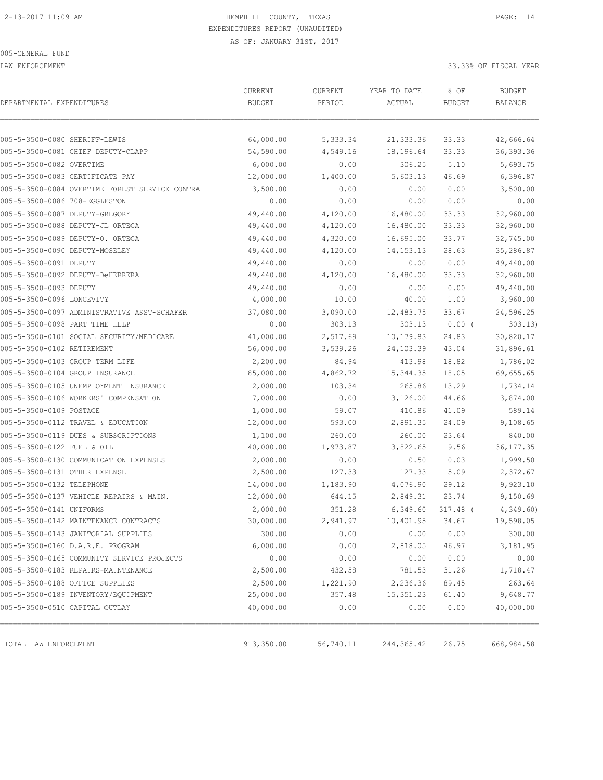LAW ENFORCEMENT 33.33% OF FISCAL YEAR

| DEPARTMENTAL EXPENDITURES      |                                                | CURRENT<br><b>BUDGET</b> | CURRENT<br>PERIOD | YEAR TO DATE<br>ACTUAL | % OF<br><b>BUDGET</b> | <b>BUDGET</b><br><b>BALANCE</b> |
|--------------------------------|------------------------------------------------|--------------------------|-------------------|------------------------|-----------------------|---------------------------------|
|                                |                                                |                          |                   |                        |                       |                                 |
| 005-5-3500-0080 SHERIFF-LEWIS  |                                                | 64,000.00                | 5,333.34          | 21, 333.36             | 33.33                 | 42,666.64                       |
|                                | 005-5-3500-0081 CHIEF DEPUTY-CLAPP             | 54,590.00                | 4,549.16          | 18,196.64              | 33.33                 | 36, 393.36                      |
| 005-5-3500-0082 OVERTIME       |                                                | 6,000.00                 | 0.00              | 306.25                 | 5.10                  | 5,693.75                        |
|                                | 005-5-3500-0083 CERTIFICATE PAY                | 12,000.00                | 1,400.00          | 5,603.13               | 46.69                 | 6,396.87                        |
|                                | 005-5-3500-0084 OVERTIME FOREST SERVICE CONTRA | 3,500.00                 | 0.00              | 0.00                   | 0.00                  | 3,500.00                        |
| 005-5-3500-0086 708-EGGLESTON  |                                                | 0.00                     | 0.00              | 0.00                   | 0.00                  | 0.00                            |
| 005-5-3500-0087 DEPUTY-GREGORY |                                                | 49,440.00                | 4,120.00          | 16,480.00              | 33.33                 | 32,960.00                       |
|                                | 005-5-3500-0088 DEPUTY-JL ORTEGA               | 49,440.00                | 4,120.00          | 16,480.00              | 33.33                 | 32,960.00                       |
|                                | 005-5-3500-0089 DEPUTY-O. ORTEGA               | 49,440.00                | 4,320.00          | 16,695.00              | 33.77                 | 32,745.00                       |
| 005-5-3500-0090 DEPUTY-MOSELEY |                                                | 49,440.00                | 4,120.00          | 14, 153. 13            | 28.63                 | 35,286.87                       |
| 005-5-3500-0091 DEPUTY         |                                                | 49,440.00                | 0.00              | 0.00                   | 0.00                  | 49,440.00                       |
|                                | 005-5-3500-0092 DEPUTY-DeHERRERA               | 49,440.00                | 4,120.00          | 16,480.00              | 33.33                 | 32,960.00                       |
| 005-5-3500-0093 DEPUTY         |                                                | 49,440.00                | 0.00              | 0.00                   | 0.00                  | 49,440.00                       |
| 005-5-3500-0096 LONGEVITY      |                                                | 4,000.00                 | 10.00             | 40.00                  | 1.00                  | 3,960.00                        |
|                                | 005-5-3500-0097 ADMINISTRATIVE ASST-SCHAFER    | 37,080.00                | 3,090.00          | 12,483.75              | 33.67                 | 24,596.25                       |
| 005-5-3500-0098 PART TIME HELP |                                                | 0.00                     | 303.13            | 303.13                 | $0.00$ (              | 303.13)                         |
|                                | 005-5-3500-0101 SOCIAL SECURITY/MEDICARE       | 41,000.00                | 2,517.69          | 10,179.83              | 24.83                 | 30,820.17                       |
| 005-5-3500-0102 RETIREMENT     |                                                | 56,000.00                | 3,539.26          | 24,103.39              | 43.04                 | 31,896.61                       |
|                                | 005-5-3500-0103 GROUP TERM LIFE                | 2,200.00                 | 84.94             | 413.98                 | 18.82                 | 1,786.02                        |
|                                | 005-5-3500-0104 GROUP INSURANCE                | 85,000.00                | 4,862.72          | 15,344.35              | 18.05                 | 69,655.65                       |
|                                | 005-5-3500-0105 UNEMPLOYMENT INSURANCE         | 2,000.00                 | 103.34            | 265.86                 | 13.29                 | 1,734.14                        |
|                                | 005-5-3500-0106 WORKERS' COMPENSATION          | 7,000.00                 | 0.00              | 3,126.00               | 44.66                 | 3,874.00                        |
| 005-5-3500-0109 POSTAGE        |                                                | 1,000.00                 | 59.07             | 410.86                 | 41.09                 | 589.14                          |
|                                | 005-5-3500-0112 TRAVEL & EDUCATION             | 12,000.00                | 593.00            | 2,891.35               | 24.09                 | 9,108.65                        |
|                                | 005-5-3500-0119 DUES & SUBSCRIPTIONS           | 1,100.00                 | 260.00            | 260.00                 | 23.64                 | 840.00                          |
| 005-5-3500-0122 FUEL & OIL     |                                                | 40,000.00                | 1,973.87          | 3,822.65               | 9.56                  | 36, 177. 35                     |
|                                | 005-5-3500-0130 COMMUNICATION EXPENSES         | 2,000.00                 | 0.00              | 0.50                   | 0.03                  | 1,999.50                        |
| 005-5-3500-0131 OTHER EXPENSE  |                                                | 2,500.00                 | 127.33            | 127.33                 | 5.09                  | 2,372.67                        |
| 005-5-3500-0132 TELEPHONE      |                                                | 14,000.00                | 1,183.90          | 4,076.90               | 29.12                 | 9,923.10                        |
|                                | 005-5-3500-0137 VEHICLE REPAIRS & MAIN.        | 12,000.00                | 644.15            | 2,849.31               | 23.74                 | 9,150.69                        |
| 005-5-3500-0141 UNIFORMS       |                                                | 2,000.00                 | 351.28            | 6,349.60               | $317.48$ (            | 4,349.60                        |
|                                | 005-5-3500-0142 MAINTENANCE CONTRACTS          | 30,000.00                | 2,941.97          | 10,401.95              | 34.67                 | 19,598.05                       |
|                                | 005-5-3500-0143 JANITORIAL SUPPLIES            | 300.00                   | 0.00              | 0.00                   | 0.00                  | 300.00                          |
|                                | 005-5-3500-0160 D.A.R.E. PROGRAM               | 6,000.00                 | 0.00              | 2,818.05               | 46.97                 | 3,181.95                        |
|                                | 005-5-3500-0165 COMMUNITY SERVICE PROJECTS     | 0.00                     | 0.00              | 0.00                   | 0.00                  | 0.00                            |
|                                | 005-5-3500-0183 REPAIRS-MAINTENANCE            | 2,500.00                 | 432.58            | 781.53                 | 31.26                 | 1,718.47                        |
|                                | 005-5-3500-0188 OFFICE SUPPLIES                | 2,500.00                 | 1,221.90          | 2,236.36               | 89.45                 | 263.64                          |
|                                | 005-5-3500-0189 INVENTORY/EQUIPMENT            | 25,000.00                | 357.48            | 15, 351.23             | 61.40                 | 9,648.77                        |
| 005-5-3500-0510 CAPITAL OUTLAY |                                                | 40,000.00                | 0.00              | 0.00                   | 0.00                  | 40,000.00                       |
| TOTAL LAW ENFORCEMENT          |                                                | 913,350.00               | 56,740.11         | 244, 365.42            | 26.75                 | 668,984.58                      |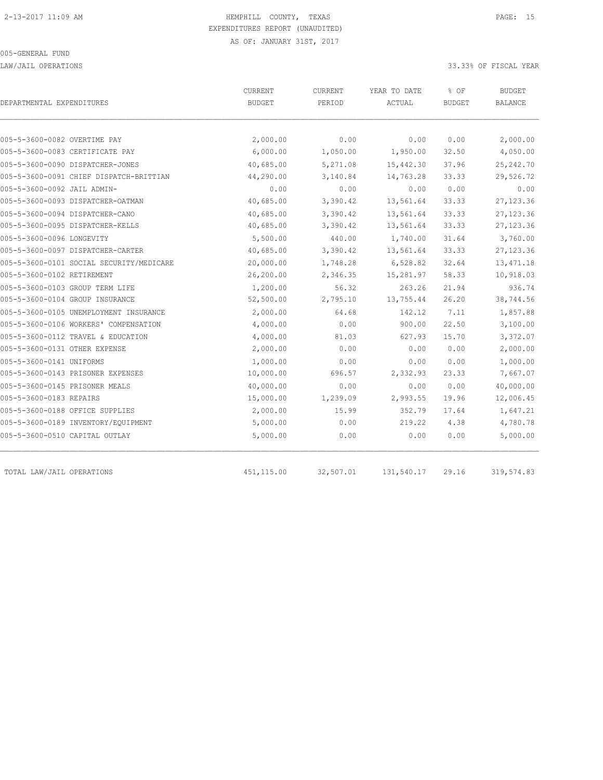LAW/JAIL OPERATIONS 33.33% OF FISCAL YEAR

| DEPARTMENTAL EXPENDITURES           |                                          | CURRENT<br><b>BUDGET</b> | <b>CURRENT</b><br>PERIOD | YEAR TO DATE<br>ACTUAL | % OF<br><b>BUDGET</b> | <b>BUDGET</b><br>BALANCE |  |
|-------------------------------------|------------------------------------------|--------------------------|--------------------------|------------------------|-----------------------|--------------------------|--|
|                                     |                                          |                          |                          |                        |                       |                          |  |
| 005-5-3600-0082 OVERTIME PAY        |                                          | 2,000.00                 | 0.00                     | 0.00                   | 0.00                  | 2,000.00                 |  |
| 005-5-3600-0083 CERTIFICATE PAY     |                                          | 6,000.00                 | 1,050.00                 | 1,950.00               | 32.50                 | 4,050.00                 |  |
| 005-5-3600-0090 DISPATCHER-JONES    |                                          | 40,685.00                | 5,271.08                 | 15,442.30              | 37.96                 | 25, 242.70               |  |
|                                     | 005-5-3600-0091 CHIEF DISPATCH-BRITTIAN  | 44,290.00                | 3,140.84                 | 14,763.28              | 33.33                 | 29,526.72                |  |
| 005-5-3600-0092 JAIL ADMIN-         |                                          | 0.00                     | 0.00                     | 0.00                   | 0.00                  | 0.00                     |  |
| 005-5-3600-0093 DISPATCHER-OATMAN   |                                          | 40,685.00                | 3,390.42                 | 13,561.64              | 33.33                 | 27, 123.36               |  |
| 005-5-3600-0094 DISPATCHER-CANO     |                                          | 40,685.00                | 3,390.42                 | 13,561.64              | 33.33                 | 27, 123.36               |  |
| 005-5-3600-0095 DISPATCHER-KELLS    |                                          | 40,685.00                | 3,390.42                 | 13,561.64              | 33.33                 | 27, 123.36               |  |
| 005-5-3600-0096 LONGEVITY           |                                          | 5,500.00                 | 440.00                   | 1,740.00               | 31.64                 | 3,760.00                 |  |
| 005-5-3600-0097 DISPATCHER-CARTER   |                                          | 40,685.00                | 3,390.42                 | 13,561.64              | 33.33                 | 27, 123.36               |  |
|                                     | 005-5-3600-0101 SOCIAL SECURITY/MEDICARE | 20,000.00                | 1,748.28                 | 6,528.82               | 32.64                 | 13, 471.18               |  |
| 005-5-3600-0102 RETIREMENT          |                                          | 26,200.00                | 2,346.35                 | 15,281.97              | 58.33                 | 10,918.03                |  |
| 005-5-3600-0103 GROUP TERM LIFE     |                                          | 1,200.00                 | 56.32                    | 263.26                 | 21.94                 | 936.74                   |  |
| 005-5-3600-0104 GROUP INSURANCE     |                                          | 52,500.00                | 2,795.10                 | 13,755.44              | 26.20                 | 38,744.56                |  |
|                                     | 005-5-3600-0105 UNEMPLOYMENT INSURANCE   | 2,000.00                 | 64.68                    | 142.12                 | 7.11                  | 1,857.88                 |  |
|                                     | 005-5-3600-0106 WORKERS' COMPENSATION    | 4,000.00                 | 0.00                     | 900.00                 | 22.50                 | 3,100.00                 |  |
| 005-5-3600-0112 TRAVEL & EDUCATION  |                                          | 4,000.00                 | 81.03                    | 627.93                 | 15.70                 | 3,372.07                 |  |
| 005-5-3600-0131 OTHER EXPENSE       |                                          | 2,000.00                 | 0.00                     | 0.00                   | 0.00                  | 2,000.00                 |  |
| 005-5-3600-0141 UNIFORMS            |                                          | 1,000.00                 | 0.00                     | 0.00                   | 0.00                  | 1,000.00                 |  |
| 005-5-3600-0143 PRISONER EXPENSES   |                                          | 10,000.00                | 696.57                   | 2,332.93               | 23.33                 | 7,667.07                 |  |
| 005-5-3600-0145 PRISONER MEALS      |                                          | 40,000.00                | 0.00                     | 0.00                   | 0.00                  | 40,000.00                |  |
| 005-5-3600-0183 REPAIRS             |                                          | 15,000.00                | 1,239.09                 | 2,993.55               | 19.96                 | 12,006.45                |  |
| 005-5-3600-0188 OFFICE SUPPLIES     |                                          | 2,000.00                 | 15.99                    | 352.79                 | 17.64                 | 1,647.21                 |  |
| 005-5-3600-0189 INVENTORY/EQUIPMENT |                                          | 5,000.00                 | 0.00                     | 219.22                 | 4.38                  | 4,780.78                 |  |
| 005-5-3600-0510 CAPITAL OUTLAY      |                                          | 5,000.00                 | 0.00                     | 0.00                   | 0.00                  | 5,000.00                 |  |
| TOTAL LAW/JAIL OPERATIONS           |                                          | 451, 115.00              | 32,507.01                | 131,540.17             | 29.16                 | 319, 574.83              |  |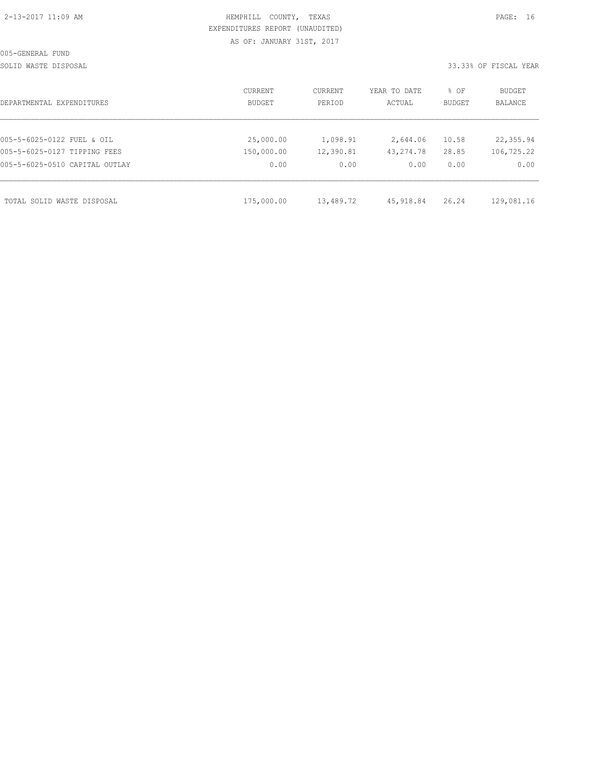| 2-13-2017 11:09 AM |  |
|--------------------|--|
|                    |  |

# HEMPHILL COUNTY, TEXAS **PAGE:** 16 EXPENDITURES REPORT (UNAUDITED) AS OF: JANUARY 31ST, 2017

SOLID WASTE DISPOSAL SOLID WASTE SERVER A SERVER AND SOLID WASTER THE SOLID WASTER SOLID WAS SERVER.

| DEPARTMENTAL EXPENDITURES      | CURRENT<br>BUDGET | CURRENT<br>PERIOD | YEAR TO DATE<br>ACTUAL | % OF<br>BUDGET | BUDGET<br>BALANCE |
|--------------------------------|-------------------|-------------------|------------------------|----------------|-------------------|
|                                |                   |                   |                        |                |                   |
| 005-5-6025-0122 FUEL & OIL     | 25,000.00         | 1,098.91          | 2,644.06               | 10.58          | 22,355.94         |
| 005-5-6025-0127 TIPPING FEES   | 150,000.00        | 12,390.81         | 43, 274.78             | 28.85          | 106,725.22        |
| 005-5-6025-0510 CAPITAL OUTLAY | 0.00              | 0.00              | 0.00                   | 0.00           | 0.00              |
|                                |                   |                   |                        |                |                   |
| TOTAL SOLID WASTE DISPOSAL     | 175,000.00        | 13,489.72         | 45,918.84              | 26.24          | 129,081.16        |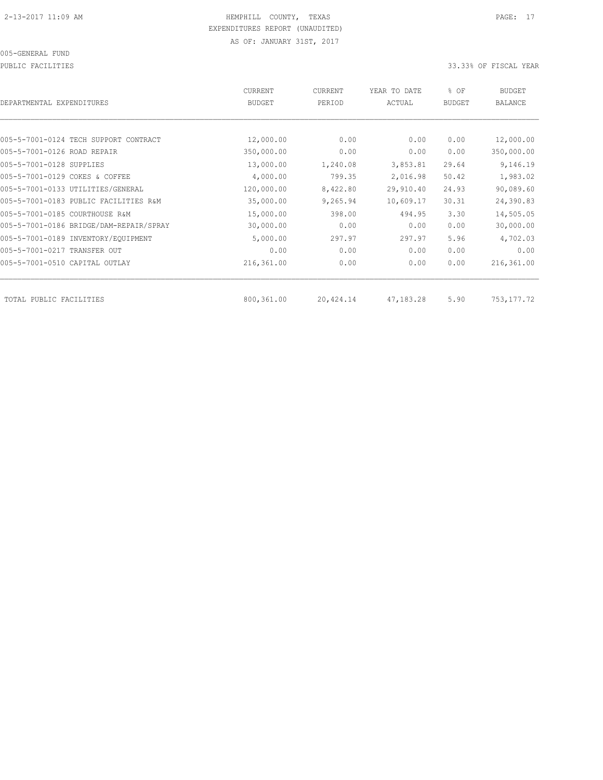PUBLIC FACILITIES 33.33% OF FISCAL YEAR

| DEPARTMENTAL EXPENDITURES               | CURRENT<br><b>BUDGET</b> | <b>CURRENT</b><br>PERIOD | YEAR TO DATE<br>ACTUAL | % OF<br><b>BUDGET</b> | <b>BUDGET</b><br>BALANCE |
|-----------------------------------------|--------------------------|--------------------------|------------------------|-----------------------|--------------------------|
|                                         |                          |                          |                        |                       |                          |
| 005-5-7001-0124 TECH SUPPORT CONTRACT   | 12,000.00                | 0.00                     | 0.00                   | 0.00                  | 12,000.00                |
| 005-5-7001-0126 ROAD REPAIR             | 350,000.00               | 0.00                     | 0.00                   | 0.00                  | 350,000.00               |
| 005-5-7001-0128 SUPPLIES                | 13,000.00                | 1,240.08                 | 3,853.81               | 29.64                 | 9,146.19                 |
| 005-5-7001-0129 COKES & COFFEE          | 4,000.00                 | 799.35                   | 2,016.98               | 50.42                 | 1,983.02                 |
| 005-5-7001-0133 UTILITIES/GENERAL       | 120,000.00               | 8,422.80                 | 29,910.40              | 24.93                 | 90,089.60                |
| 005-5-7001-0183 PUBLIC FACILITIES R&M   | 35,000.00                | 9,265.94                 | 10,609.17              | 30.31                 | 24,390.83                |
| 005-5-7001-0185 COURTHOUSE R&M          | 15,000.00                | 398.00                   | 494.95                 | 3.30                  | 14,505.05                |
| 005-5-7001-0186 BRIDGE/DAM-REPAIR/SPRAY | 30,000.00                | 0.00                     | 0.00                   | 0.00                  | 30,000.00                |
| 005-5-7001-0189 INVENTORY/EQUIPMENT     | 5,000.00                 | 297.97                   | 297.97                 | 5.96                  | 4,702.03                 |
| 005-5-7001-0217 TRANSFER OUT            | 0.00                     | 0.00                     | 0.00                   | 0.00                  | 0.00                     |
| 005-5-7001-0510 CAPITAL OUTLAY          | 216,361.00               | 0.00                     | 0.00                   | 0.00                  | 216,361.00               |
| TOTAL PUBLIC FACILITIES                 | 800,361.00               | 20,424.14                | 47,183.28              | 5.90                  | 753, 177.72              |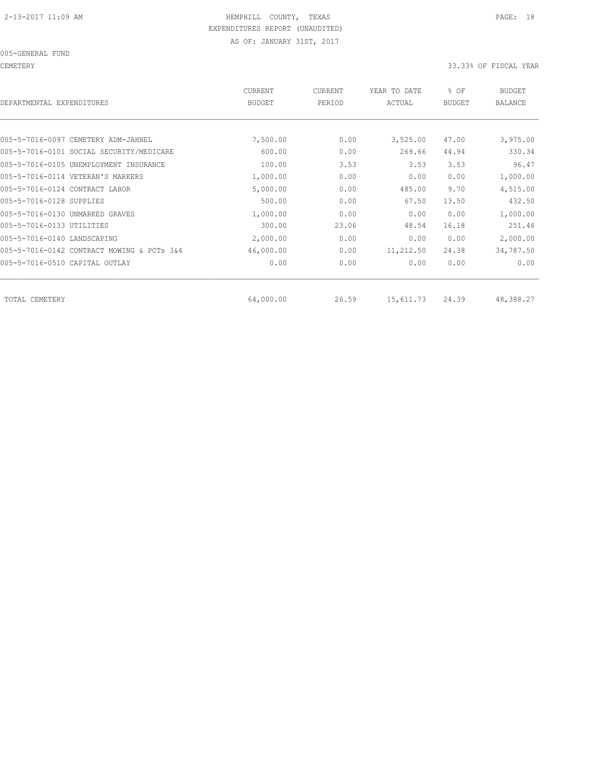CEMETERY 33.33% OF FISCAL YEAR

| CURRENT<br><b>BUDGET</b> | CURRENT<br>PERIOD | YEAR TO DATE<br>ACTUAL | % OF<br><b>BUDGET</b> | <b>BUDGET</b><br>BALANCE |
|--------------------------|-------------------|------------------------|-----------------------|--------------------------|
|                          |                   |                        |                       |                          |
| 7,500.00                 | 0.00              | 3,525.00               | 47.00                 | 3,975.00                 |
| 600.00                   | 0.00              | 269.66                 | 44.94                 | 330.34                   |
| 100.00                   | 3.53              | 3.53                   | 3.53                  | 96.47                    |
| 1,000.00                 | 0.00              | 0.00                   | 0.00                  | 1,000.00                 |
| 5,000.00                 | 0.00              | 485.00                 | 9.70                  | 4,515.00                 |
| 500.00                   | 0.00              | 67.50                  | 13.50                 | 432.50                   |
| 1,000.00                 | 0.00              | 0.00                   | 0.00                  | 1,000.00                 |
| 300.00                   | 23.06             | 48.54                  | 16.18                 | 251.46                   |
| 2,000.00                 | 0.00              | 0.00                   | 0.00                  | 2,000.00                 |
| 46,000.00                | 0.00              | 11,212.50              | 24.38                 | 34,787.50                |
| 0.00                     | 0.00              | 0.00                   | 0.00                  | 0.00                     |
|                          |                   |                        |                       | 48,388.27                |
|                          | 64,000.00         | 26.59                  | 15,611.73             | 24.39                    |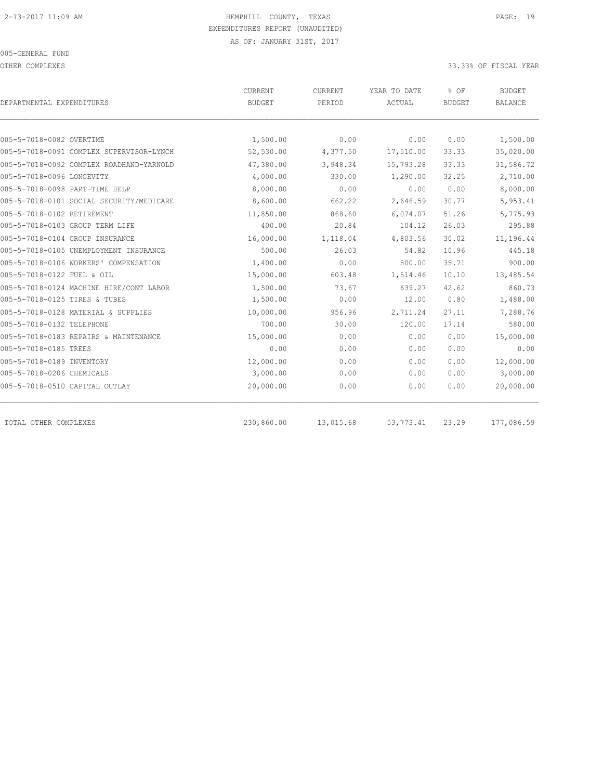#### 005-GENERAL FUND

OTHER COMPLEXES 33.33% OF FISCAL YEAR

|                                          | <b>CURRENT</b>        | <b>CURRENT</b> | YEAR TO DATE | % OF           | <b>BUDGET</b>  |  |
|------------------------------------------|-----------------------|----------------|--------------|----------------|----------------|--|
| DEPARTMENTAL EXPENDITURES                | <b>BUDGET</b>         | PERIOD         | ACTUAL       | <b>BUDGET</b>  | <b>BALANCE</b> |  |
| 005-5-7018-0082 OVERTIME                 |                       | 0.00           | 0.00         | 0.00           | 1,500.00       |  |
| 005-5-7018-0091 COMPLEX SUPERVISOR-LYNCH | 1,500.00<br>52,530.00 | 4,377.50       | 17,510.00    | 33.33          | 35,020.00      |  |
| 005-5-7018-0092 COMPLEX ROADHAND-YARNOLD |                       |                |              |                |                |  |
| 005-5-7018-0096 LONGEVITY                | 47,380.00             | 3,948.34       | 15,793.28    | 33.33<br>32.25 | 31,586.72      |  |
|                                          | 4,000.00              | 330.00         | 1,290.00     |                | 2,710.00       |  |
| 005-5-7018-0098 PART-TIME HELP           | 8,000.00              | 0.00           | 0.00         | 0.00           | 8,000.00       |  |
| 005-5-7018-0101 SOCIAL SECURITY/MEDICARE | 8,600.00              | 662.22         | 2,646.59     | 30.77          | 5,953.41       |  |
| 005-5-7018-0102 RETIREMENT               | 11,850.00             | 868.60         | 6,074.07     | 51.26          | 5,775.93       |  |
| 005-5-7018-0103 GROUP TERM LIFE          | 400.00                | 20.84          | 104.12       | 26.03          | 295.88         |  |
| 005-5-7018-0104 GROUP INSURANCE          | 16,000.00             | 1,118.04       | 4,803.56     | 30.02          | 11,196.44      |  |
| 005-5-7018-0105 UNEMPLOYMENT INSURANCE   | 500.00                | 26.03          | 54.82        | 10.96          | 445.18         |  |
| 005-5-7018-0106 WORKERS' COMPENSATION    | 1,400.00              | 0.00           | 500.00       | 35.71          | 900.00         |  |
| 005-5-7018-0122 FUEL & OIL               | 15,000.00             | 603.48         | 1,514.46     | 10.10          | 13,485.54      |  |
| 005-5-7018-0124 MACHINE HIRE/CONT LABOR  | 1,500.00              | 73.67          | 639.27       | 42.62          | 860.73         |  |
| 005-5-7018-0125 TIRES & TUBES            | 1,500.00              | 0.00           | 12.00        | 0.80           | 1,488.00       |  |
| 005-5-7018-0128 MATERIAL & SUPPLIES      | 10,000.00             | 956.96         | 2,711.24     | 27.11          | 7,288.76       |  |
| 005-5-7018-0132 TELEPHONE                | 700.00                | 30.00          | 120.00       | 17.14          | 580.00         |  |
| 005-5-7018-0183 REPAIRS & MAINTENANCE    | 15,000.00             | 0.00           | 0.00         | 0.00           | 15,000.00      |  |
| 005-5-7018-0185 TREES                    | 0.00                  | 0.00           | 0.00         | 0.00           | 0.00           |  |
| 005-5-7018-0189 INVENTORY                | 12,000.00             | 0.00           | 0.00         | 0.00           | 12,000.00      |  |
| 005-5-7018-0206 CHEMICALS                | 3,000.00              | 0.00           | 0.00         | 0.00           | 3,000.00       |  |
| 005-5-7018-0510 CAPITAL OUTLAY           | 20,000.00             | 0.00           | 0.00         | 0.00           | 20,000.00      |  |
| TOTAL OTHER COMPLEXES                    | 230,860.00            | 13,015.68      | 53, 773.41   | 23.29          | 177,086.59     |  |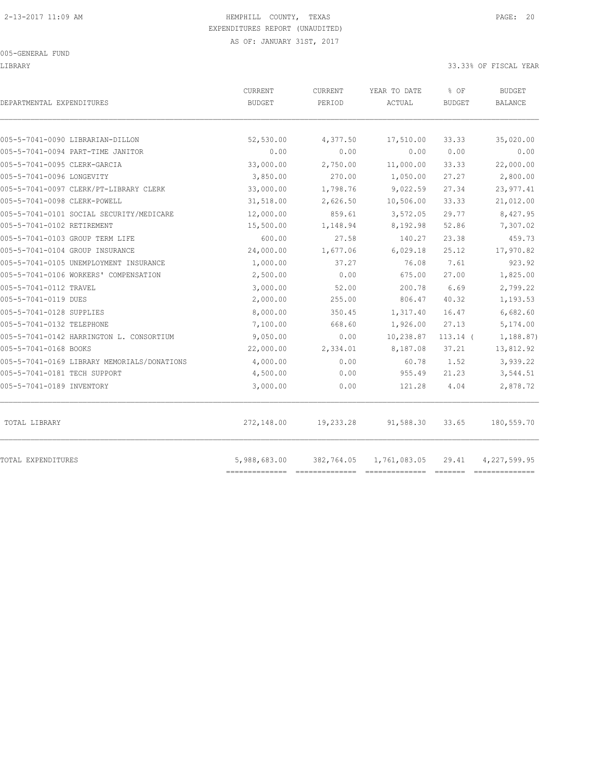#### 005-GENERAL FUND

#### LIBRARY 33.33% OF FISCAL YEAR

| DEPARTMENTAL EXPENDITURES                   | CURRENT<br><b>BUDGET</b> | CURRENT<br>PERIOD | YEAR TO DATE<br>ACTUAL | % OF<br><b>BUDGET</b> | <b>BUDGET</b><br><b>BALANCE</b> |
|---------------------------------------------|--------------------------|-------------------|------------------------|-----------------------|---------------------------------|
|                                             |                          |                   |                        |                       |                                 |
| 005-5-7041-0090 LIBRARIAN-DILLON            | 52,530.00                | 4,377.50          | 17,510.00              | 33.33                 | 35,020.00                       |
| 005-5-7041-0094 PART-TIME JANITOR           | 0.00                     | 0.00              | 0.00                   | 0.00                  | 0.00                            |
| 005-5-7041-0095 CLERK-GARCIA                | 33,000.00                | 2,750.00          | 11,000.00              | 33.33                 | 22,000.00                       |
| 005-5-7041-0096 LONGEVITY                   | 3,850.00                 | 270.00            | 1,050.00               | 27.27                 | 2,800.00                        |
| 005-5-7041-0097 CLERK/PT-LIBRARY CLERK      | 33,000.00                | 1,798.76          | 9,022.59               | 27.34                 | 23, 977.41                      |
| 005-5-7041-0098 CLERK-POWELL                | 31,518.00                | 2,626.50          | 10,506.00              | 33.33                 | 21,012.00                       |
| 005-5-7041-0101 SOCIAL SECURITY/MEDICARE    | 12,000.00                | 859.61            | 3,572.05               | 29.77                 | 8,427.95                        |
| 005-5-7041-0102 RETIREMENT                  | 15,500.00                | 1,148.94          | 8,192.98               | 52.86                 | 7,307.02                        |
| 005-5-7041-0103 GROUP TERM LIFE             | 600.00                   | 27.58             | 140.27                 | 23.38                 | 459.73                          |
| 005-5-7041-0104 GROUP INSURANCE             | 24,000.00                | 1,677.06          | 6,029.18               | 25.12                 | 17,970.82                       |
| 005-5-7041-0105 UNEMPLOYMENT INSURANCE      | 1,000.00                 | 37.27             | 76.08                  | 7.61                  | 923.92                          |
| 005-5-7041-0106 WORKERS' COMPENSATION       | 2,500.00                 | 0.00              | 675.00                 | 27.00                 | 1,825.00                        |
| 005-5-7041-0112 TRAVEL                      | 3,000.00                 | 52.00             | 200.78                 | 6.69                  | 2,799.22                        |
| 005-5-7041-0119 DUES                        | 2,000.00                 | 255.00            | 806.47                 | 40.32                 | 1,193.53                        |
| 005-5-7041-0128 SUPPLIES                    | 8,000.00                 | 350.45            | 1,317.40               | 16.47                 | 6,682.60                        |
| 005-5-7041-0132 TELEPHONE                   | 7,100.00                 | 668.60            | 1,926.00               | 27.13                 | 5,174.00                        |
| 005-5-7041-0142 HARRINGTON L. CONSORTIUM    | 9,050.00                 | 0.00              | 10,238.87              | $113.14$ (            | 1,188.87)                       |
| 005-5-7041-0168 BOOKS                       | 22,000.00                | 2,334.01          | 8,187.08               | 37.21                 | 13,812.92                       |
| 005-5-7041-0169 LIBRARY MEMORIALS/DONATIONS | 4,000.00                 | 0.00              | 60.78                  | 1.52                  | 3,939.22                        |
| 005-5-7041-0181 TECH SUPPORT                | 4,500.00                 | 0.00              | 955.49                 | 21.23                 | 3,544.51                        |
| 005-5-7041-0189 INVENTORY                   | 3,000.00                 | 0.00              | 121.28                 | 4.04                  | 2,878.72                        |
| TOTAL LIBRARY                               | 272,148.00               | 19,233.28         | 91,588.30              | 33.65                 | 180,559.70                      |
| TOTAL EXPENDITURES                          | 5,988,683.00             | 382,764.05        | 1,761,083.05           | 29.41                 | 4,227,599.95                    |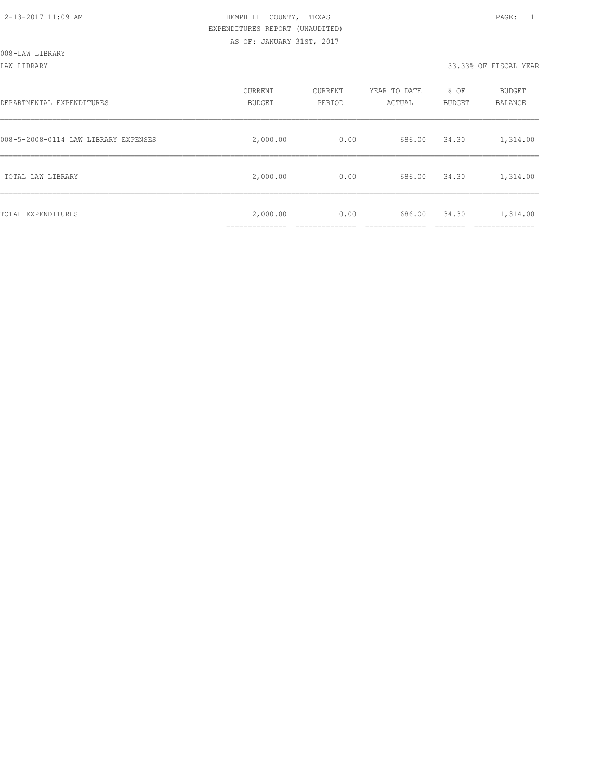LAW LIBRARY 33.33% OF FISCAL YEAR

| DEPARTMENTAL EXPENDITURES            | CURRENT<br><b>BUDGET</b>                    | CURRENT<br>PERIOD | YEAR TO DATE<br>ACTUAL | % OF<br><b>BUDGET</b> | <b>BUDGET</b><br>BALANCE |
|--------------------------------------|---------------------------------------------|-------------------|------------------------|-----------------------|--------------------------|
| 008-5-2008-0114 LAW LIBRARY EXPENSES | 2,000.00                                    | 0.00              | 686.00                 | 34.30                 | 1,314.00                 |
| TOTAL LAW LIBRARY                    | 2,000.00                                    | 0.00              | 686.00                 | 34.30                 | 1,314.00                 |
| TOTAL EXPENDITURES                   | 2,000.00<br>-------------<br>______________ | 0.00              | 686.00                 | 34.30                 | 1,314.00<br>__________   |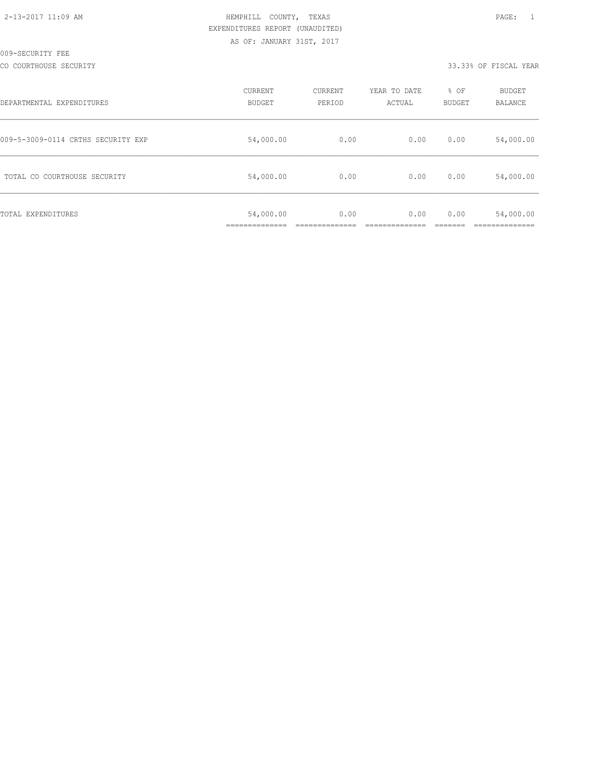#### CO COURTHOUSE SECURITY 33.33% OF FISCAL YEAR

| DEPARTMENTAL EXPENDITURES          | <b>CURRENT</b><br><b>BUDGET</b> | CURRENT<br>PERIOD | YEAR TO DATE<br>ACTUAL | % OF<br>BUDGET | BUDGET<br>BALANCE |
|------------------------------------|---------------------------------|-------------------|------------------------|----------------|-------------------|
| 009-5-3009-0114 CRTHS SECURITY EXP | 54,000.00                       | 0.00              | 0.00                   | 0.00           | 54,000.00         |
| TOTAL CO COURTHOUSE SECURITY       | 54,000.00                       | 0.00              | 0.00                   | 0.00           | 54,000.00         |
| TOTAL EXPENDITURES                 | 54,000.00                       | 0.00              | 0.00                   | 0.00           | 54,000.00         |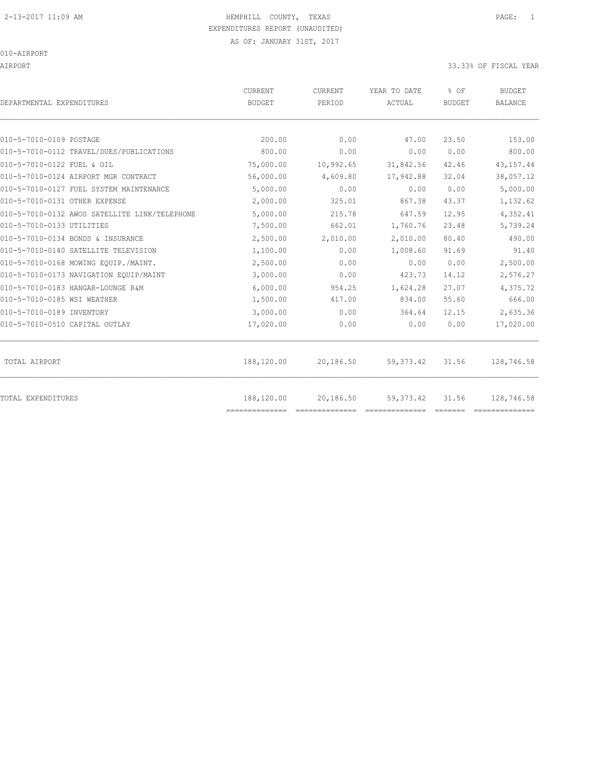# 2-13-2017 11:09 AM HEMPHILL COUNTY, TEXAS PAGE: 1 EXPENDITURES REPORT (UNAUDITED)

#### 010-AIRPORT

AIRPORT 33.33% OF FISCAL YEAR

| DEPARTMENTAL EXPENDITURES                     | <b>CURRENT</b><br><b>BUDGET</b> | <b>CURRENT</b><br>PERIOD | YEAR TO DATE<br>ACTUAL | % OF<br><b>BUDGET</b> | <b>BUDGET</b><br><b>BALANCE</b> |
|-----------------------------------------------|---------------------------------|--------------------------|------------------------|-----------------------|---------------------------------|
|                                               |                                 |                          |                        |                       |                                 |
| 010-5-7010-0109 POSTAGE                       | 200.00                          | 0.00                     | 47.00                  | 23.50                 | 153.00                          |
| 010-5-7010-0112 TRAVEL/DUES/PUBLICATIONS      | 800.00                          | 0.00                     | 0.00                   | 0.00                  | 800.00                          |
| 010-5-7010-0122 FUEL & OIL                    | 75,000.00                       | 10,992.65                | 31,842.56              | 42.46                 | 43, 157. 44                     |
| 010-5-7010-0124 AIRPORT MGR CONTRACT          | 56,000.00                       | 4,609.80                 | 17,942.88              | 32.04                 | 38,057.12                       |
| 010-5-7010-0127 FUEL SYSTEM MAINTENANCE       | 5,000.00                        | 0.00                     | 0.00                   | 0.00                  | 5,000.00                        |
| 010-5-7010-0131 OTHER EXPENSE                 | 2,000.00                        | 325.01                   | 867.38                 | 43.37                 | 1,132.62                        |
| 010-5-7010-0132 AWOS SATELLITE LINK/TELEPHONE | 5,000.00                        | 215.78                   | 647.59                 | 12.95                 | 4,352.41                        |
| 010-5-7010-0133 UTILITIES                     | 7,500.00                        | 662.01                   | 1,760.76               | 23.48                 | 5,739.24                        |
| 010-5-7010-0134 BONDS & INSURANCE             | 2,500.00                        | 2,010.00                 | 2,010.00               | 80.40                 | 490.00                          |
| 010-5-7010-0140 SATELLITE TELEVISION          | 1,100.00                        | 0.00                     | 1,008.60               | 91.69                 | 91.40                           |
| 010-5-7010-0168 MOWING EOUIP./MAINT.          | 2,500.00                        | 0.00                     | 0.00                   | 0.00                  | 2,500.00                        |
| 010-5-7010-0173 NAVIGATION EQUIP/MAINT        | 3,000.00                        | 0.00                     | 423.73                 | 14.12                 | 2,576.27                        |
| 010-5-7010-0183 HANGAR-LOUNGE R&M             | 6,000.00                        | 954.25                   | 1,624.28               | 27.07                 | 4,375.72                        |
| 010-5-7010-0185 WSI WEATHER                   | 1,500.00                        | 417.00                   | 834.00                 | 55.60                 | 666.00                          |
| 010-5-7010-0189 INVENTORY                     | 3,000.00                        | 0.00                     | 364.64                 | 12.15                 | 2,635.36                        |
| 010-5-7010-0510 CAPITAL OUTLAY                | 17,020.00                       | 0.00                     | 0.00                   | 0.00                  | 17,020.00                       |
|                                               |                                 |                          |                        |                       |                                 |
| TOTAL AIRPORT                                 | 188,120.00                      | 20,186.50                | 59, 373.42             | 31.56                 | 128,746.58                      |
| <b>TOTAL EXPENDITURES</b>                     | 188,120.00<br>--------------    | 20,186.50                | 59, 373.42             | 31.56                 | 128,746.58                      |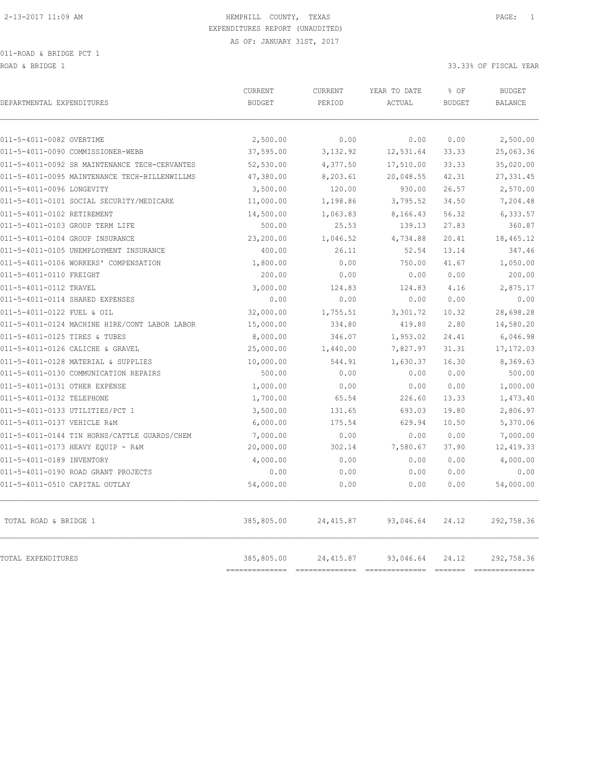ROAD & BRIDGE 1 33.33% OF FISCAL YEAR (1999) AND ROAD & SOLUTION OF SALES AND ROAD & SOLUTION OF SOLUTION OF SOLUTION OF SOLUTION OF SOLUTION OF SOLUTION OF SOLUTION OF SOLUTION OF SOLUTION OF SOLUTION OF SOLUTION OF SOLUT

| DEPARTMENTAL EXPENDITURES                     | CURRENT<br><b>BUDGET</b>  | CURRENT<br>PERIOD | YEAR TO DATE<br>ACTUAL      | % OF<br><b>BUDGET</b>   | <b>BUDGET</b><br><b>BALANCE</b> |
|-----------------------------------------------|---------------------------|-------------------|-----------------------------|-------------------------|---------------------------------|
| 011-5-4011-0082 OVERTIME                      | 2,500.00                  | 0.00              | 0.00                        | 0.00                    | 2,500.00                        |
| 011-5-4011-0090 COMMISSIONER-WEBB             | 37,595.00                 | 3,132.92          | 12,531.64                   | 33.33                   | 25,063.36                       |
| 011-5-4011-0092 SR MAINTENANCE TECH-CERVANTES | 52,530.00                 | 4,377.50          | 17,510.00                   | 33.33                   | 35,020.00                       |
| 011-5-4011-0095 MAINTENANCE TECH-BILLENWILLMS | 47,380.00                 | 8,203.61          | 20,048.55                   | 42.31                   | 27, 331.45                      |
| 011-5-4011-0096 LONGEVITY                     | 3,500.00                  | 120.00            | 930.00                      | 26.57                   | 2,570.00                        |
| 011-5-4011-0101 SOCIAL SECURITY/MEDICARE      | 11,000.00                 | 1,198.86          | 3,795.52                    | 34.50                   | 7,204.48                        |
| 011-5-4011-0102 RETIREMENT                    | 14,500.00                 | 1,063.83          | 8,166.43                    | 56.32                   | 6,333.57                        |
| 011-5-4011-0103 GROUP TERM LIFE               | 500.00                    | 25.53             | 139.13                      | 27.83                   | 360.87                          |
| 011-5-4011-0104 GROUP INSURANCE               | 23,200.00                 | 1,046.52          | 4,734.88                    | 20.41                   | 18,465.12                       |
| 011-5-4011-0105 UNEMPLOYMENT INSURANCE        | 400.00                    | 26.11             | 52.54                       | 13.14                   | 347.46                          |
| 011-5-4011-0106 WORKERS' COMPENSATION         | 1,800.00                  | 0.00              | 750.00                      | 41.67                   | 1,050.00                        |
| 011-5-4011-0110 FREIGHT                       | 200.00                    | 0.00              | 0.00                        | 0.00                    | 200.00                          |
| 011-5-4011-0112 TRAVEL                        | 3,000.00                  | 124.83            | 124.83                      | 4.16                    | 2,875.17                        |
| 011-5-4011-0114 SHARED EXPENSES               | 0.00                      | 0.00              | 0.00                        | 0.00                    | 0.00                            |
| 011-5-4011-0122 FUEL & OIL                    | 32,000.00                 | 1,755.51          | 3,301.72                    | 10.32                   | 28,698.28                       |
| 011-5-4011-0124 MACHINE HIRE/CONT LABOR LABOR | 15,000.00                 | 334.80            | 419.80                      | 2.80                    | 14,580.20                       |
| 011-5-4011-0125 TIRES & TUBES                 | 8,000.00                  | 346.07            | 1,953.02                    | 24.41                   | 6,046.98                        |
| 011-5-4011-0126 CALICHE & GRAVEL              | 25,000.00                 | 1,440.00          | 7,827.97                    | 31.31                   | 17,172.03                       |
| 011-5-4011-0128 MATERIAL & SUPPLIES           | 10,000.00                 | 544.91            | 1,630.37                    | 16.30                   | 8,369.63                        |
| 011-5-4011-0130 COMMUNICATION REPAIRS         | 500.00                    | 0.00              | 0.00                        | 0.00                    | 500.00                          |
| 011-5-4011-0131 OTHER EXPENSE                 | 1,000.00                  | 0.00              | 0.00                        | 0.00                    | 1,000.00                        |
| 011-5-4011-0132 TELEPHONE                     | 1,700.00                  | 65.54             | 226.60                      | 13.33                   | 1,473.40                        |
| 011-5-4011-0133 UTILITIES/PCT 1               | 3,500.00                  | 131.65            | 693.03                      | 19.80                   | 2,806.97                        |
| 011-5-4011-0137 VEHICLE R&M                   | 6,000.00                  | 175.54            | 629.94                      | 10.50                   | 5,370.06                        |
| 011-5-4011-0144 TIN HORNS/CATTLE GUARDS/CHEM  | 7,000.00                  | 0.00              | 0.00                        | 0.00                    | 7,000.00                        |
| 011-5-4011-0173 HEAVY EQUIP - R&M             | 20,000.00                 | 302.14            | 7,580.67                    | 37.90                   | 12, 419.33                      |
| 011-5-4011-0189 INVENTORY                     | 4,000.00                  | 0.00              | 0.00                        | 0.00                    | 4,000.00                        |
| 011-5-4011-0190 ROAD GRANT PROJECTS           | 0.00                      | 0.00              | 0.00                        | 0.00                    | 0.00                            |
| 011-5-4011-0510 CAPITAL OUTLAY                | 54,000.00                 | 0.00              | 0.00                        | 0.00                    | 54,000.00                       |
| TOTAL ROAD & BRIDGE 1                         | 385,805.00                | 24,415.87         | 93,046.64                   | 24.12                   | 292,758.36                      |
| TOTAL EXPENDITURES                            | 385,805.00<br>----------- | 24, 415.87        | 93,046.64<br>============== | 24.12<br><b>ERREPRO</b> | 292,758.36<br>$=$ =========     |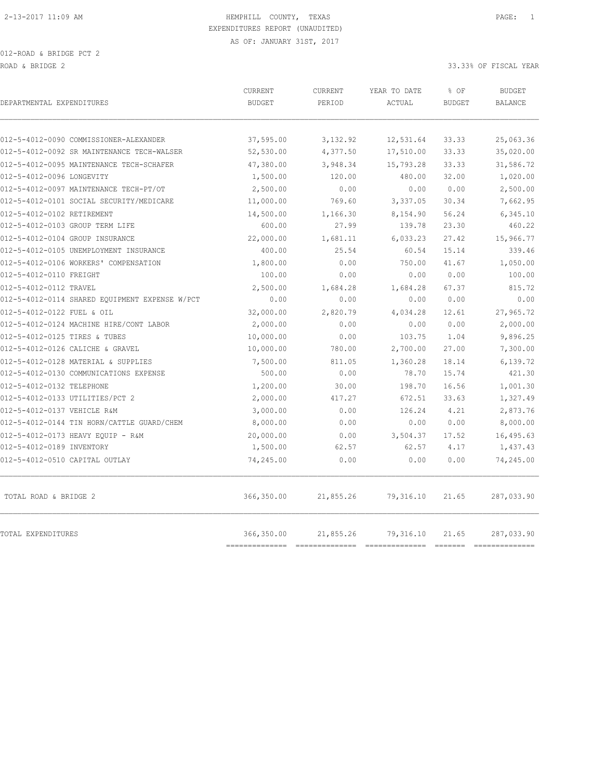| DEPARTMENTAL EXPENDITURES                      | <b>CURRENT</b><br><b>BUDGET</b> | <b>CURRENT</b><br>PERIOD | YEAR TO DATE<br>ACTUAL                                                                                                                                                                                                                                                                                                                                                                                                                                                                     | % OF<br><b>BUDGET</b> | <b>BUDGET</b><br><b>BALANCE</b> |
|------------------------------------------------|---------------------------------|--------------------------|--------------------------------------------------------------------------------------------------------------------------------------------------------------------------------------------------------------------------------------------------------------------------------------------------------------------------------------------------------------------------------------------------------------------------------------------------------------------------------------------|-----------------------|---------------------------------|
| 012-5-4012-0090 COMMISSIONER-ALEXANDER         |                                 |                          |                                                                                                                                                                                                                                                                                                                                                                                                                                                                                            | 33.33                 |                                 |
| 012-5-4012-0092 SR MAINTENANCE TECH-WALSER     | 37,595.00<br>52,530.00          | 3,132.92<br>4,377.50     | 12,531.64<br>17,510.00                                                                                                                                                                                                                                                                                                                                                                                                                                                                     | 33.33                 | 25,063.36<br>35,020.00          |
| 012-5-4012-0095 MAINTENANCE TECH-SCHAFER       | 47,380.00                       | 3,948.34                 | 15,793.28                                                                                                                                                                                                                                                                                                                                                                                                                                                                                  | 33.33                 | 31,586.72                       |
| 012-5-4012-0096 LONGEVITY                      | 1,500.00                        | 120.00                   | 480.00                                                                                                                                                                                                                                                                                                                                                                                                                                                                                     | 32.00                 | 1,020.00                        |
| 012-5-4012-0097 MAINTENANCE TECH-PT/OT         | 2,500.00                        | 0.00                     | 0.00                                                                                                                                                                                                                                                                                                                                                                                                                                                                                       | 0.00                  | 2,500.00                        |
| 012-5-4012-0101 SOCIAL SECURITY/MEDICARE       | 11,000.00                       | 769.60                   | 3,337.05                                                                                                                                                                                                                                                                                                                                                                                                                                                                                   | 30.34                 | 7,662.95                        |
| 012-5-4012-0102 RETIREMENT                     | 14,500.00                       | 1,166.30                 | 8,154.90                                                                                                                                                                                                                                                                                                                                                                                                                                                                                   | 56.24                 | 6,345.10                        |
| 012-5-4012-0103 GROUP TERM LIFE                | 600.00                          | 27.99                    | 139.78                                                                                                                                                                                                                                                                                                                                                                                                                                                                                     | 23.30                 | 460.22                          |
| 012-5-4012-0104 GROUP INSURANCE                | 22,000.00                       | 1,681.11                 | 6,033.23                                                                                                                                                                                                                                                                                                                                                                                                                                                                                   | 27.42                 | 15,966.77                       |
| 012-5-4012-0105 UNEMPLOYMENT INSURANCE         | 400.00                          | 25.54                    | 60.54                                                                                                                                                                                                                                                                                                                                                                                                                                                                                      | 15.14                 | 339.46                          |
| 012-5-4012-0106 WORKERS' COMPENSATION          | 1,800.00                        | 0.00                     | 750.00                                                                                                                                                                                                                                                                                                                                                                                                                                                                                     | 41.67                 | 1,050.00                        |
| 012-5-4012-0110 FREIGHT                        | 100.00                          | 0.00                     | 0.00                                                                                                                                                                                                                                                                                                                                                                                                                                                                                       | 0.00                  | 100.00                          |
| 012-5-4012-0112 TRAVEL                         | 2,500.00                        | 1,684.28                 | 1,684.28                                                                                                                                                                                                                                                                                                                                                                                                                                                                                   | 67.37                 | 815.72                          |
| 012-5-4012-0114 SHARED EQUIPMENT EXPENSE W/PCT | 0.00                            | 0.00                     | 0.00                                                                                                                                                                                                                                                                                                                                                                                                                                                                                       | 0.00                  | 0.00                            |
| 012-5-4012-0122 FUEL & OIL                     | 32,000.00                       | 2,820.79                 | 4,034.28                                                                                                                                                                                                                                                                                                                                                                                                                                                                                   | 12.61                 | 27,965.72                       |
| 012-5-4012-0124 MACHINE HIRE/CONT LABOR        | 2,000.00                        | 0.00                     | 0.00                                                                                                                                                                                                                                                                                                                                                                                                                                                                                       | 0.00                  | 2,000.00                        |
| 012-5-4012-0125 TIRES & TUBES                  | 10,000.00                       | 0.00                     | 103.75                                                                                                                                                                                                                                                                                                                                                                                                                                                                                     | 1.04                  | 9,896.25                        |
| 012-5-4012-0126 CALICHE & GRAVEL               | 10,000.00                       | 780.00                   | 2,700.00                                                                                                                                                                                                                                                                                                                                                                                                                                                                                   | 27.00                 | 7,300.00                        |
| 012-5-4012-0128 MATERIAL & SUPPLIES            | 7,500.00                        | 811.05                   | 1,360.28                                                                                                                                                                                                                                                                                                                                                                                                                                                                                   | 18.14                 | 6,139.72                        |
| 012-5-4012-0130 COMMUNICATIONS EXPENSE         | 500.00                          | 0.00                     | 78.70                                                                                                                                                                                                                                                                                                                                                                                                                                                                                      | 15.74                 | 421.30                          |
| 012-5-4012-0132 TELEPHONE                      | 1,200.00                        | 30.00                    | 198.70                                                                                                                                                                                                                                                                                                                                                                                                                                                                                     | 16.56                 | 1,001.30                        |
| 012-5-4012-0133 UTILITIES/PCT 2                | 2,000.00                        | 417.27                   | 672.51                                                                                                                                                                                                                                                                                                                                                                                                                                                                                     | 33.63                 | 1,327.49                        |
| 012-5-4012-0137 VEHICLE R&M                    | 3,000.00                        | 0.00                     | 126.24                                                                                                                                                                                                                                                                                                                                                                                                                                                                                     | 4.21                  | 2,873.76                        |
| 012-5-4012-0144 TIN HORN/CATTLE GUARD/CHEM     | 8,000.00                        | 0.00                     | 0.00                                                                                                                                                                                                                                                                                                                                                                                                                                                                                       | 0.00                  | 8,000.00                        |
| 012-5-4012-0173 HEAVY EOUIP - R&M              | 20,000.00                       | 0.00                     | 3,504.37                                                                                                                                                                                                                                                                                                                                                                                                                                                                                   | 17.52                 | 16,495.63                       |
| 012-5-4012-0189 INVENTORY                      | 1,500.00                        | 62.57                    | 62.57                                                                                                                                                                                                                                                                                                                                                                                                                                                                                      | 4.17                  | 1,437.43                        |
| 012-5-4012-0510 CAPITAL OUTLAY                 | 74,245.00                       | 0.00                     | 0.00                                                                                                                                                                                                                                                                                                                                                                                                                                                                                       | 0.00                  | 74,245.00                       |
| TOTAL ROAD & BRIDGE 2                          | 366,350.00                      | 21,855.26                | 79,316.10                                                                                                                                                                                                                                                                                                                                                                                                                                                                                  | 21.65                 | 287,033.90                      |
| TOTAL EXPENDITURES                             | 366,350.00<br>===========       | 21,855.26                | 79,316.10<br>$\begin{minipage}{0.03\textwidth} \begin{tabular}{@{}l@{}} \hline \multicolumn{3}{c}{\textbf{r}} & \multicolumn{3}{c}{\textbf{r}} & \multicolumn{3}{c}{\textbf{r}} \\ \multicolumn{3}{c}{\textbf{r}} & \multicolumn{3}{c}{\textbf{r}} & \multicolumn{3}{c}{\textbf{r}} \\ \multicolumn{3}{c}{\textbf{r}} & \multicolumn{3}{c}{\textbf{r}} & \multicolumn{3}{c}{\textbf{r}} \\ \multicolumn{3}{c}{\textbf{r}} & \multicolumn{3}{c}{\textbf{r}} & \multicolumn{3}{c}{\textbf{r$ | 21.65                 | 287,033.90<br>----------        |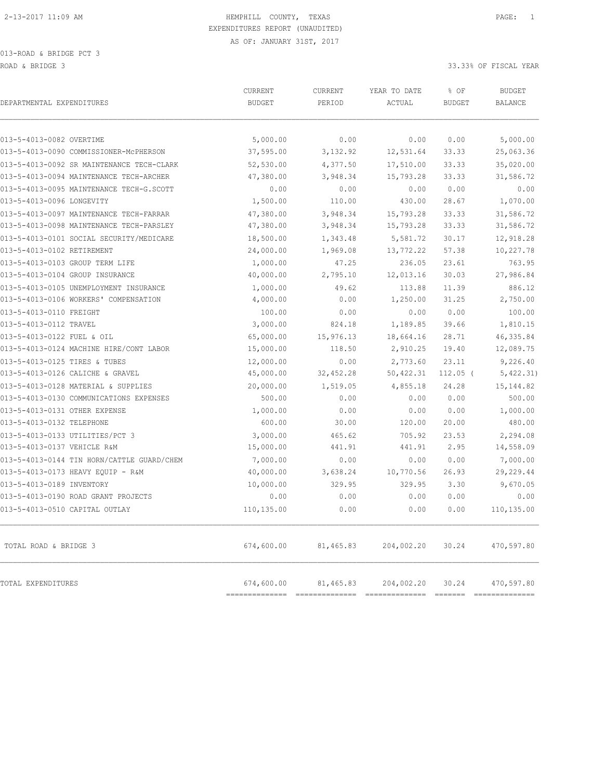013-ROAD & BRIDGE PCT 3 ROAD & BRIDGE 3 33.33% OF FISCAL YEAR

| DEPARTMENTAL EXPENDITURES                  | CURRENT<br><b>BUDGET</b>     | CURRENT<br>PERIOD | YEAR TO DATE<br>ACTUAL | % OF<br><b>BUDGET</b> | <b>BUDGET</b><br><b>BALANCE</b> |
|--------------------------------------------|------------------------------|-------------------|------------------------|-----------------------|---------------------------------|
| 013-5-4013-0082 OVERTIME                   | 5,000.00                     | 0.00              | 0.00                   | 0.00                  | 5,000.00                        |
| 013-5-4013-0090 COMMISSIONER-McPHERSON     | 37,595.00                    | 3,132.92          | 12,531.64              | 33.33                 | 25,063.36                       |
| 013-5-4013-0092 SR MAINTENANCE TECH-CLARK  | 52,530.00                    | 4,377.50          | 17,510.00              | 33.33                 | 35,020.00                       |
| 013-5-4013-0094 MAINTENANCE TECH-ARCHER    | 47,380.00                    | 3,948.34          | 15,793.28              | 33.33                 | 31,586.72                       |
| 013-5-4013-0095 MAINTENANCE TECH-G.SCOTT   | 0.00                         | 0.00              | 0.00                   | 0.00                  | 0.00                            |
| 013-5-4013-0096 LONGEVITY                  | 1,500.00                     | 110.00            | 430.00                 | 28.67                 | 1,070.00                        |
| 013-5-4013-0097 MAINTENANCE TECH-FARRAR    | 47,380.00                    | 3,948.34          | 15,793.28              | 33.33                 | 31,586.72                       |
| 013-5-4013-0098 MAINTENANCE TECH-PARSLEY   | 47,380.00                    | 3,948.34          | 15,793.28              | 33.33                 | 31,586.72                       |
| 013-5-4013-0101 SOCIAL SECURITY/MEDICARE   | 18,500.00                    | 1,343.48          | 5,581.72               | 30.17                 | 12,918.28                       |
| 013-5-4013-0102 RETIREMENT                 | 24,000.00                    | 1,969.08          | 13,772.22              | 57.38                 | 10,227.78                       |
| 013-5-4013-0103 GROUP TERM LIFE            | 1,000.00                     | 47.25             | 236.05                 | 23.61                 | 763.95                          |
| 013-5-4013-0104 GROUP INSURANCE            | 40,000.00                    | 2,795.10          | 12,013.16              | 30.03                 | 27,986.84                       |
| 013-5-4013-0105 UNEMPLOYMENT INSURANCE     | 1,000.00                     | 49.62             | 113.88                 | 11.39                 | 886.12                          |
| 013-5-4013-0106 WORKERS' COMPENSATION      | 4,000.00                     | 0.00              | 1,250.00               | 31.25                 | 2,750.00                        |
| 013-5-4013-0110 FREIGHT                    | 100.00                       | 0.00              | 0.00                   | 0.00                  | 100.00                          |
| 013-5-4013-0112 TRAVEL                     | 3,000.00                     | 824.18            | 1,189.85               | 39.66                 | 1,810.15                        |
| 013-5-4013-0122 FUEL & OIL                 | 65,000.00                    | 15,976.13         | 18,664.16              | 28.71                 | 46, 335.84                      |
| 013-5-4013-0124 MACHINE HIRE/CONT LABOR    | 15,000.00                    | 118.50            | 2,910.25               | 19.40                 | 12,089.75                       |
| 013-5-4013-0125 TIRES & TUBES              | 12,000.00                    | 0.00              | 2,773.60               | 23.11                 | 9,226.40                        |
| 013-5-4013-0126 CALICHE & GRAVEL           | 45,000.00                    | 32,452.28         | 50,422.31              | $112.05$ (            | 5,422.31)                       |
| 013-5-4013-0128 MATERIAL & SUPPLIES        | 20,000.00                    | 1,519.05          | 4,855.18               | 24.28                 | 15, 144.82                      |
| 013-5-4013-0130 COMMUNICATIONS EXPENSES    | 500.00                       | 0.00              | 0.00                   | 0.00                  | 500.00                          |
| 013-5-4013-0131 OTHER EXPENSE              | 1,000.00                     | 0.00              | 0.00                   | 0.00                  | 1,000.00                        |
| 013-5-4013-0132 TELEPHONE                  | 600.00                       | 30.00             | 120.00                 | 20.00                 | 480.00                          |
| 013-5-4013-0133 UTILITIES/PCT 3            | 3,000.00                     | 465.62            | 705.92                 | 23.53                 | 2,294.08                        |
| 013-5-4013-0137 VEHICLE R&M                | 15,000.00                    | 441.91            | 441.91                 | 2.95                  | 14,558.09                       |
| 013-5-4013-0144 TIN HORN/CATTLE GUARD/CHEM | 7,000.00                     | 0.00              | 0.00                   | 0.00                  | 7,000.00                        |
| 013-5-4013-0173 HEAVY EQUIP - R&M          | 40,000.00                    | 3,638.24          | 10,770.56              | 26.93                 | 29,229.44                       |
| 013-5-4013-0189 INVENTORY                  | 10,000.00                    | 329.95            | 329.95                 | 3.30                  | 9,670.05                        |
| 013-5-4013-0190 ROAD GRANT PROJECTS        | 0.00                         | 0.00              | 0.00                   | 0.00                  | 0.00                            |
| 013-5-4013-0510 CAPITAL OUTLAY             | 110,135.00                   | 0.00              | 0.00                   | 0.00                  | 110,135.00                      |
| TOTAL ROAD & BRIDGE 3                      | 674,600.00                   | 81,465.83         | 204,002.20             | 30.24                 | 470,597.80                      |
| TOTAL EXPENDITURES                         | 674,600.00<br>-------------- | 81,465.83         | 204,002.20             | 30.24                 | 470,597.80                      |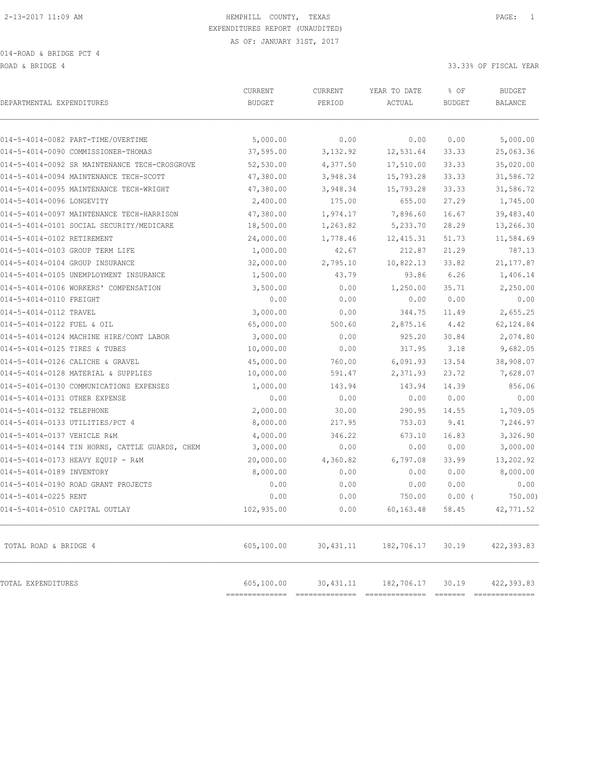ROAD & BRIDGE 4 33.33% OF FISCAL YEAR

| DEPARTMENTAL EXPENDITURES                      | <b>CURRENT</b><br><b>BUDGET</b> | CURRENT<br>PERIOD | YEAR TO DATE<br>ACTUAL | % OF<br><b>BUDGET</b> | <b>BUDGET</b><br><b>BALANCE</b> |
|------------------------------------------------|---------------------------------|-------------------|------------------------|-----------------------|---------------------------------|
| 014-5-4014-0082 PART-TIME/OVERTIME             | 5,000.00                        | 0.00              | 0.00                   | 0.00                  | 5,000.00                        |
| 014-5-4014-0090 COMMISSIONER-THOMAS            | 37,595.00                       | 3, 132.92         | 12,531.64              | 33.33                 | 25,063.36                       |
| 014-5-4014-0092 SR MAINTENANCE TECH-CROSGROVE  | 52,530.00                       | 4,377.50          | 17,510.00              | 33.33                 | 35,020.00                       |
| 014-5-4014-0094 MAINTENANCE TECH-SCOTT         | 47,380.00                       | 3,948.34          | 15,793.28              | 33.33                 | 31,586.72                       |
| 014-5-4014-0095 MAINTENANCE TECH-WRIGHT        | 47,380.00                       | 3,948.34          | 15,793.28              | 33.33                 | 31,586.72                       |
| 014-5-4014-0096 LONGEVITY                      | 2,400.00                        | 175.00            | 655.00                 | 27.29                 | 1,745.00                        |
| 014-5-4014-0097 MAINTENANCE TECH-HARRISON      | 47,380.00                       | 1,974.17          | 7,896.60               | 16.67                 | 39,483.40                       |
| 014-5-4014-0101 SOCIAL SECURITY/MEDICARE       | 18,500.00                       | 1,263.82          | 5,233.70               | 28.29                 | 13,266.30                       |
| 014-5-4014-0102 RETIREMENT                     | 24,000.00                       | 1,778.46          | 12, 415.31             | 51.73                 | 11,584.69                       |
| 014-5-4014-0103 GROUP TERM LIFE                | 1,000.00                        | 42.67             | 212.87                 | 21.29                 | 787.13                          |
| 014-5-4014-0104 GROUP INSURANCE                | 32,000.00                       | 2,795.10          | 10,822.13              | 33.82                 | 21, 177.87                      |
| 014-5-4014-0105 UNEMPLOYMENT INSURANCE         | 1,500.00                        | 43.79             | 93.86                  | 6.26                  | 1,406.14                        |
| 014-5-4014-0106 WORKERS' COMPENSATION          | 3,500.00                        | 0.00              | 1,250.00               | 35.71                 | 2,250.00                        |
| 014-5-4014-0110 FREIGHT                        | 0.00                            | 0.00              | 0.00                   | 0.00                  | 0.00                            |
| 014-5-4014-0112 TRAVEL                         | 3,000.00                        | 0.00              | 344.75                 | 11.49                 | 2,655.25                        |
| 014-5-4014-0122 FUEL & OIL                     | 65,000.00                       | 500.60            | 2,875.16               | 4.42                  | 62,124.84                       |
| 014-5-4014-0124 MACHINE HIRE/CONT LABOR        | 3,000.00                        | 0.00              | 925.20                 | 30.84                 | 2,074.80                        |
| 014-5-4014-0125 TIRES & TUBES                  | 10,000.00                       | 0.00              | 317.95                 | 3.18                  | 9,682.05                        |
| 014-5-4014-0126 CALICHE & GRAVEL               | 45,000.00                       | 760.00            | 6,091.93               | 13.54                 | 38,908.07                       |
| 014-5-4014-0128 MATERIAL & SUPPLIES            | 10,000.00                       | 591.47            | 2,371.93               | 23.72                 | 7,628.07                        |
| 014-5-4014-0130 COMMUNICATIONS EXPENSES        | 1,000.00                        | 143.94            | 143.94                 | 14.39                 | 856.06                          |
| 014-5-4014-0131 OTHER EXPENSE                  | 0.00                            | 0.00              | 0.00                   | 0.00                  | 0.00                            |
| 014-5-4014-0132 TELEPHONE                      | 2,000.00                        | 30.00             | 290.95                 | 14.55                 | 1,709.05                        |
| 014-5-4014-0133 UTILITIES/PCT 4                | 8,000.00                        | 217.95            | 753.03                 | 9.41                  | 7,246.97                        |
| 014-5-4014-0137 VEHICLE R&M                    | 4,000.00                        | 346.22            | 673.10                 | 16.83                 | 3,326.90                        |
| 014-5-4014-0144 TIN HORNS, CATTLE GUARDS, CHEM | 3,000.00                        | 0.00              | 0.00                   | 0.00                  | 3,000.00                        |
| 014-5-4014-0173 HEAVY EQUIP - R&M              | 20,000.00                       | 4,360.82          | 6,797.08               | 33.99                 | 13,202.92                       |
| 014-5-4014-0189 INVENTORY                      | 8,000.00                        | 0.00              | 0.00                   | 0.00                  | 8,000.00                        |
| 014-5-4014-0190 ROAD GRANT PROJECTS            | 0.00                            | 0.00              | 0.00                   | 0.00                  | 0.00                            |
| 014-5-4014-0225 RENT                           | 0.00                            | 0.00              | 750.00                 | $0.00$ (              | 750.00)                         |
| 014-5-4014-0510 CAPITAL OUTLAY                 | 102,935.00                      | 0.00              | 60,163.48              | 58.45                 | 42,771.52                       |
| TOTAL ROAD & BRIDGE 4                          | 605,100.00                      | 30,431.11         | 182,706.17             | 30.19                 | 422,393.83                      |
| TOTAL EXPENDITURES                             | 605,100.00                      | 30,431.11         | 182,706.17             | 30.19                 | 422,393.83                      |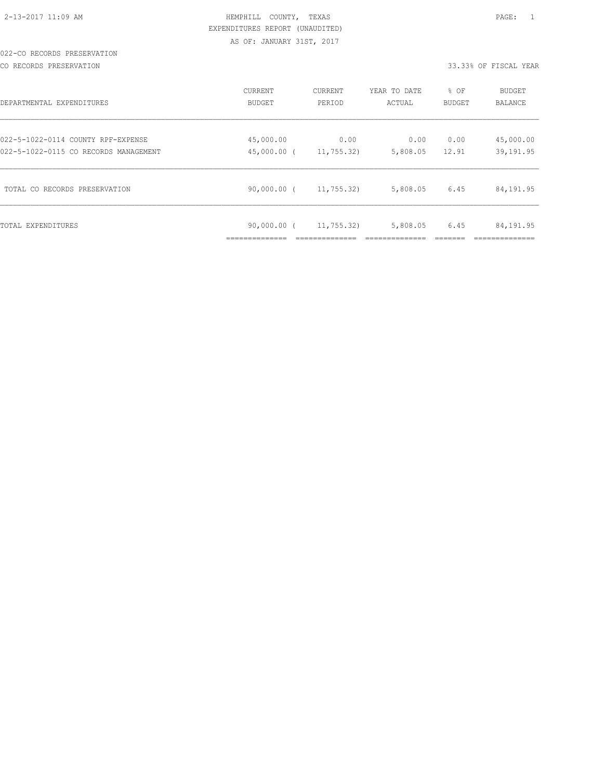#### 022-CO RECORDS PRESERVATION

CO RECORDS PRESERVATION 33.33% OF FISCAL YEAR

| DEPARTMENTAL EXPENDITURES                                                   | CURRENT<br>BUDGET         | CURRENT<br>PERIOD  | YEAR TO DATE<br>ACTUAL | % OF<br>BUDGET | BUDGET<br>BALANCE      |
|-----------------------------------------------------------------------------|---------------------------|--------------------|------------------------|----------------|------------------------|
| 022-5-1022-0114 COUNTY RPF-EXPENSE<br>022-5-1022-0115 CO RECORDS MANAGEMENT | 45,000.00<br>45,000.00 (  | 0.00<br>11,755,32) | 0.00<br>5,808.05       | 0.00<br>12.91  | 45,000.00<br>39,191.95 |
|                                                                             |                           |                    |                        |                |                        |
| TOTAL CO RECORDS PRESERVATION                                               | 90,000.00 (               | 11,755.32)         | 5,808.05               | 6.45           | 84,191.95              |
| TOTAL EXPENDITURES                                                          | 90,000.00 (<br>---------- | 11,755.32          | 5,808.05               | 6.45           | 84,191.95              |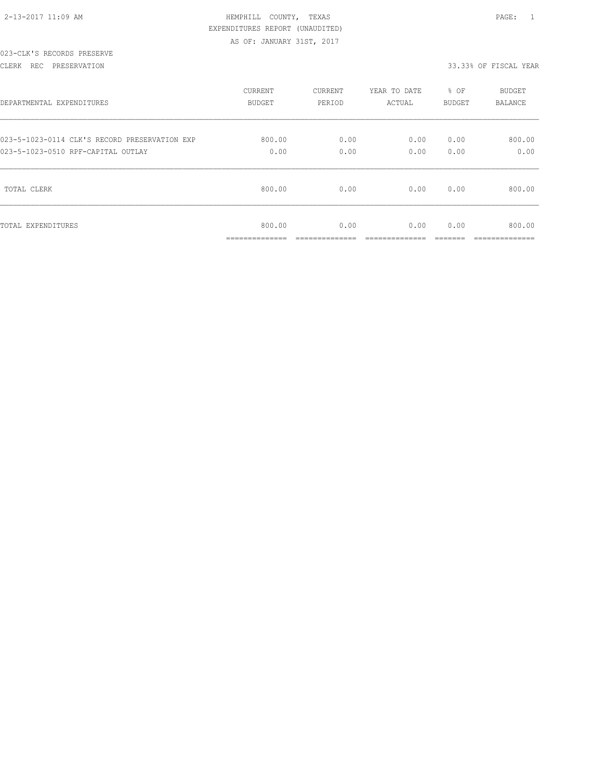| 2-13-2017 11:09 AM |  |
|--------------------|--|

#### 023-CLK'S RECORDS PRESERVE

CLERK REC PRESERVATION 33.33% OF FISCAL YEAR

| DEPARTMENTAL EXPENDITURES                     | <b>CURRENT</b>                        | CURRENT                | YEAR TO DATE           | % OF          | <b>BUDGET</b>            |
|-----------------------------------------------|---------------------------------------|------------------------|------------------------|---------------|--------------------------|
|                                               | BUDGET                                | PERIOD                 | ACTUAL                 | BUDGET        | <b>BALANCE</b>           |
| 023-5-1023-0114 CLK'S RECORD PRESERVATION EXP | 800.00                                | 0.00                   | 0.00                   | 0.00          | 800.00                   |
| 023-5-1023-0510 RPF-CAPITAL OUTLAY            | 0.00                                  | 0.00                   | 0.00                   | 0.00          | 0.00                     |
| TOTAL CLERK                                   | 800.00                                | 0.00                   | 0.00                   | 0.00          | 800.00                   |
| TOTAL EXPENDITURES                            | 800.00<br>______________<br>--------- | 0.00<br>______________ | 0.00<br>______________ | 0.00<br>_____ | 800.00<br>______________ |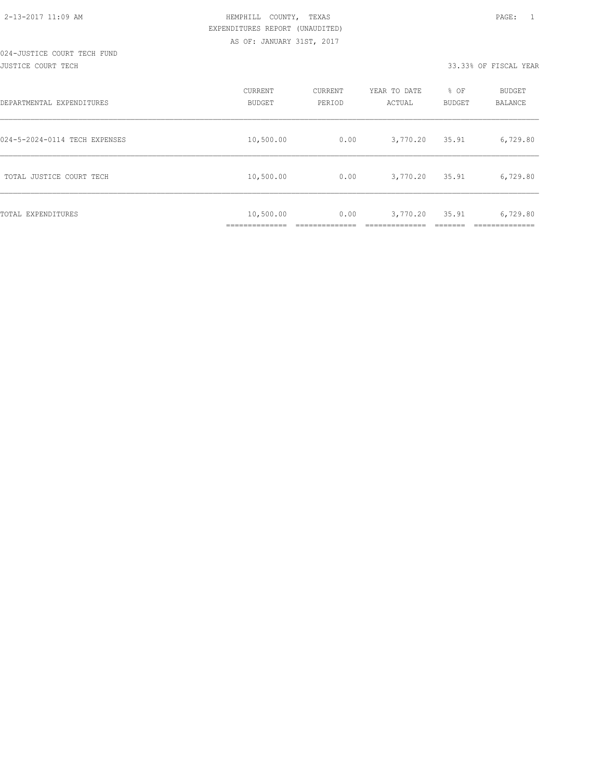#### 024-JUSTICE COURT TECH FUND JUSTICE COURT TECH 33.33% OF FISCAL YEAR

| DEPARTMENTAL EXPENDITURES     | CURRENT<br><b>BUDGET</b>    | CURRENT<br>PERIOD | YEAR TO DATE<br>ACTUAL | % OF<br><b>BUDGET</b> | BUDGET<br>BALANCE |
|-------------------------------|-----------------------------|-------------------|------------------------|-----------------------|-------------------|
| 024-5-2024-0114 TECH EXPENSES | 10,500.00                   | 0.00              | 3,770.20               | 35.91                 | 6,729.80          |
| TOTAL JUSTICE COURT TECH      | 10,500.00                   | 0.00              | 3,770.20               | 35.91                 | 6,729.80          |
| TOTAL EXPENDITURES            | 10,500.00<br>______________ | 0.00              | 3,770.20               | 35.91                 | 6,729.80          |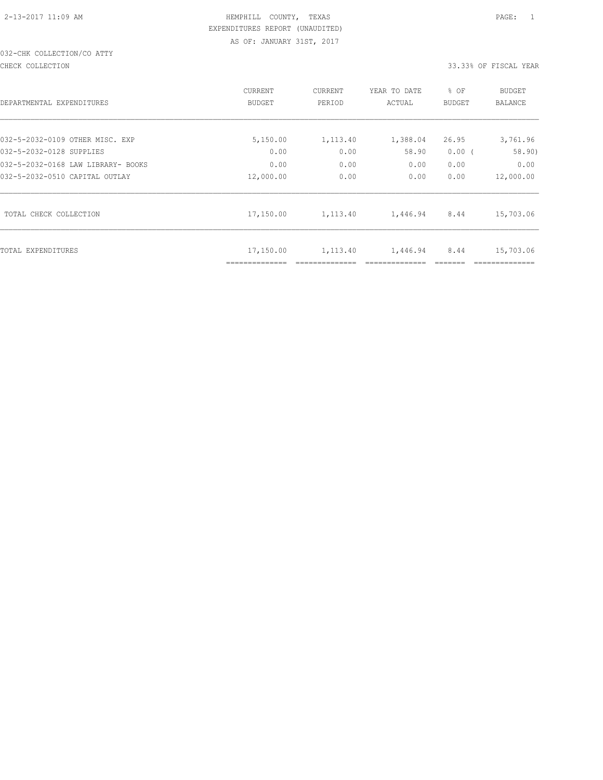# 032-CHK COLLECTION/CO ATTY

CHECK COLLECTION 33.33% OF FISCAL YEAR

| DEPARTMENTAL EXPENDITURES          | CURRENT<br><b>BUDGET</b> | CURRENT<br>PERIOD | YEAR TO DATE<br>ACTUAL | % OF<br>BUDGET | BUDGET<br>BALANCE |
|------------------------------------|--------------------------|-------------------|------------------------|----------------|-------------------|
| 032-5-2032-0109 OTHER MISC. EXP    | 5,150.00                 | 1,113.40          | 1,388.04               | 26.95          | 3,761.96          |
| 032-5-2032-0128 SUPPLIES           | 0.00                     | 0.00              | 58.90                  | 0.00(          | 58.90)            |
| 032-5-2032-0168 LAW LIBRARY- BOOKS | 0.00                     | 0.00              | 0.00                   | 0.00           | 0.00              |
| 032-5-2032-0510 CAPITAL OUTLAY     | 12,000.00                | 0.00              | 0.00                   | 0.00           | 12,000.00         |
| TOTAL CHECK COLLECTION             | 17,150.00                | 1,113.40          | 1,446.94               | 8.44           | 15,703.06         |
| TOTAL EXPENDITURES                 | 17,150.00                | 1,113.40          | 1,446.94               | 8.44           | 15,703.06         |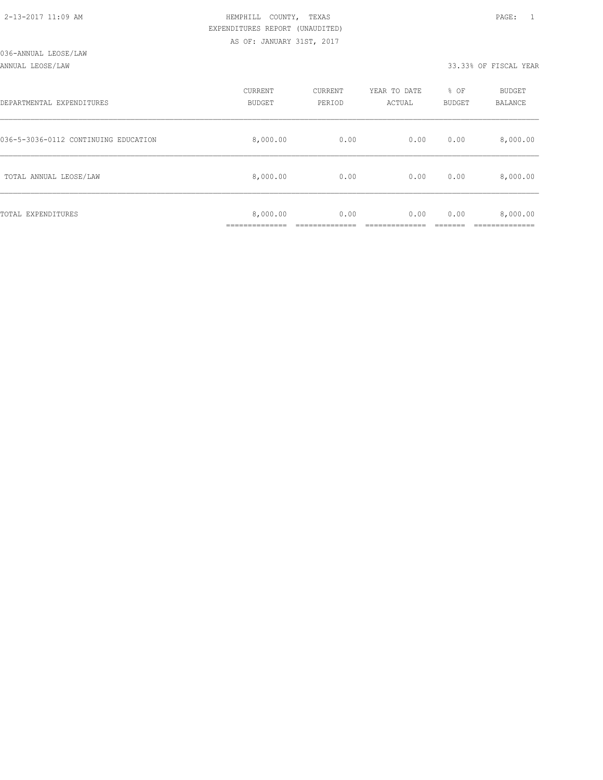#### ANNUAL LEOSE/LAW 33.33% OF FISCAL YEAR

| DEPARTMENTAL EXPENDITURES            | CURRENT<br><b>BUDGET</b> | CURRENT<br>PERIOD | YEAR TO DATE<br>ACTUAL | % OF<br>BUDGET | BUDGET<br><b>BALANCE</b> |
|--------------------------------------|--------------------------|-------------------|------------------------|----------------|--------------------------|
| 036-5-3036-0112 CONTINUING EDUCATION | 8,000.00                 | 0.00              | 0.00                   | 0.00           | 8,000.00                 |
| TOTAL ANNUAL LEOSE/LAW               | 8,000.00                 | 0.00              | 0.00                   | 0.00           | 8,000.00                 |
| TOTAL EXPENDITURES                   | 8,000.00<br>___________  | 0.00              | 0.00                   | 0.00           | 8,000.00                 |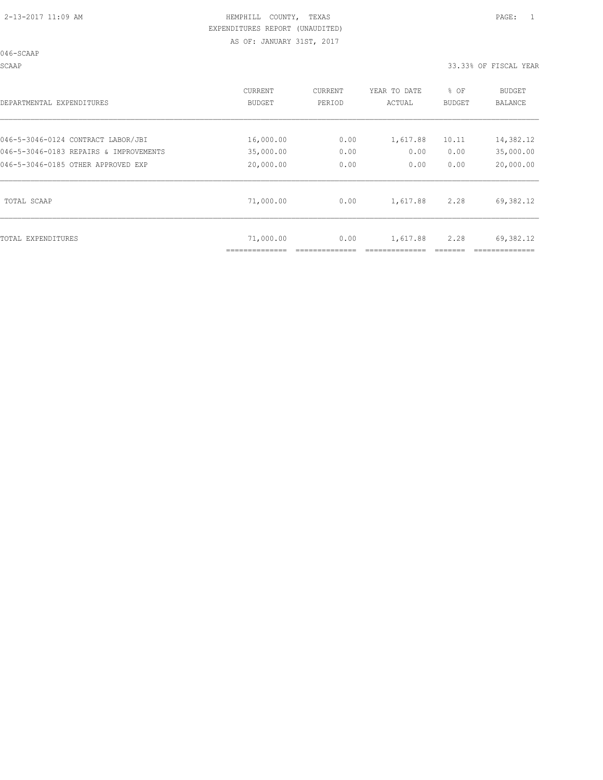046-SCAAP

SCAAP 33.33% OF FISCAL YEAR

| DEPARTMENTAL EXPENDITURES              | CURRENT<br>BUDGET | CURRENT<br>PERIOD | YEAR TO DATE<br>ACTUAL | % OF<br><b>BUDGET</b> | BUDGET<br>BALANCE |
|----------------------------------------|-------------------|-------------------|------------------------|-----------------------|-------------------|
| 046-5-3046-0124 CONTRACT LABOR/JBI     | 16,000.00         | 0.00              | 1,617.88               | 10.11                 | 14,382.12         |
| 046-5-3046-0183 REPAIRS & IMPROVEMENTS | 35,000.00         | 0.00              | 0.00                   | 0.00                  | 35,000.00         |
| 046-5-3046-0185 OTHER APPROVED EXP     | 20,000.00         | 0.00              | 0.00                   | 0.00                  | 20,000.00         |
| TOTAL SCAAP                            | 71,000.00         | 0.00              | 1,617.88               | 2.28                  | 69,382.12         |
| TOTAL EXPENDITURES                     | 71,000.00         | 0.00              | 1,617.88               | 2.28                  | 69,382.12         |